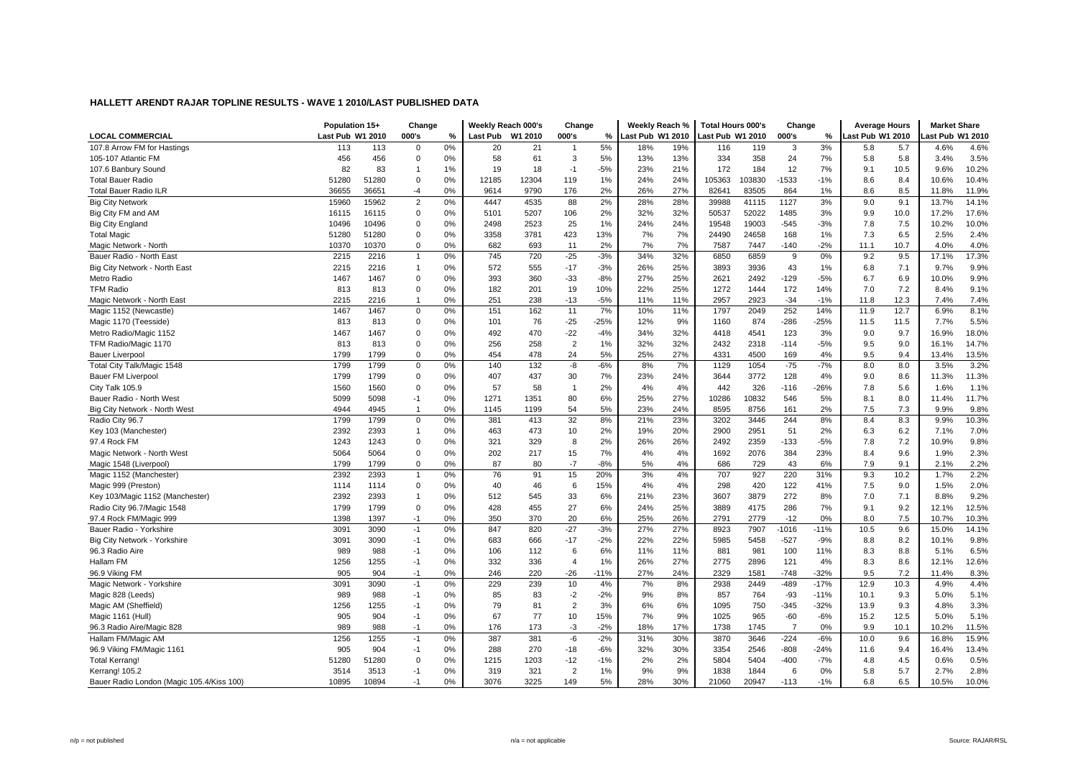| <b>LOCAL COMMERCIAL</b>                           | Population 15+<br>Last Pub W1 2010 |               | Change<br>000's            | %        | Weekly Reach 000's<br>Last Pub W1 2010 |            | Change<br>000's         | %            | Weekly Reach %<br><b>Last Pub W1 2010</b> |            | <b>Total Hours 000's</b><br>ast Pub W1 2010 |              | Change<br>000's | %               | <b>Average Hours</b><br>ast Pub W1 2010 |              | <b>Market Share</b><br>ast Pub W1 2010 |                |
|---------------------------------------------------|------------------------------------|---------------|----------------------------|----------|----------------------------------------|------------|-------------------------|--------------|-------------------------------------------|------------|---------------------------------------------|--------------|-----------------|-----------------|-----------------------------------------|--------------|----------------------------------------|----------------|
| 107.8 Arrow FM for Hastings                       | 113                                | 113           | $\mathbf 0$                | 0%       | 20                                     | 21         | $\overline{1}$          | 5%           | 18%                                       | 19%        | 116                                         | 119          | 3               | 3%              | 5.8                                     | 5.7          | 4.6%                                   | 4.6%           |
| 105-107 Atlantic FM                               | 456                                | 456           | 0                          | 0%       | 58                                     | 61         | 3                       | 5%           | 13%                                       | 13%        | 334                                         | 358          | 24              | 7%              | 5.8                                     | 5.8          | 3.4%                                   | 3.5%           |
|                                                   | 82                                 | 83            | -1                         | 1%       | 19                                     | 18         | $-1$                    | $-5%$        | 23%                                       | 21%        | 172                                         | 184          | 12              | 7%              | 9.1                                     | 10.5         | 9.6%                                   | 10.2%          |
| 107.6 Banbury Sound<br><b>Total Bauer Radio</b>   | 51280                              | 51280         | $\Omega$                   | 0%       | 12185                                  | 12304      | 119                     | 1%           | 24%                                       | 24%        | 105363                                      | 103830       | $-1533$         | $-1%$           | 8.6                                     | 8.4          | 10.6%                                  | 10.4%          |
| <b>Total Bauer Radio ILR</b>                      | 36655                              | 36651         | -4                         | 0%       | 9614                                   | 9790       | 176                     | 2%           | 26%                                       | 27%        | 82641                                       | 83505        | 864             | 1%              | 8.6                                     | 8.5          | 11.8%                                  | 11.9%          |
| <b>Big City Network</b>                           | 15960                              | 15962         | $\overline{2}$             | 0%       | 4447                                   | 4535       | 88                      | 2%           | 28%                                       | 28%        | 39988                                       | 41115        | 1127            | 3%              | 9.0                                     | 9.1          | 13.7%                                  | 14.1%          |
| Big City FM and AM                                | 16115                              | 16115         | $\mathbf 0$                | 0%       | 5101                                   | 5207       | 106                     | 2%           | 32%                                       | 32%        | 50537                                       | 52022        | 1485            | 3%              | 9.9                                     | 10.0         | 17.2%                                  | 17.6%          |
|                                                   | 10496                              | 10496         | $\mathbf 0$                | 0%       | 2498                                   | 2523       | 25                      | 1%           | 24%                                       | 24%        | 19548                                       | 19003        | $-545$          | $-3%$           | 7.8                                     | 7.5          | 10.2%                                  | 10.0%          |
| <b>Big City England</b>                           | 51280                              |               | $\mathbf 0$                | 0%       | 3358                                   | 3781       |                         |              |                                           |            |                                             | 24658        |                 |                 |                                         | 6.5          | 2.5%                                   | 2.4%           |
| <b>Total Magic</b>                                |                                    | 51280         | $\Omega$                   | 0%       | 682                                    | 693        | 423<br>11               | 13%<br>2%    | 7%<br>7%                                  | 7%<br>7%   | 24490                                       | 7447         | 168<br>$-140$   | 1%<br>$-2%$     | 7.3                                     | 10.7         | 4.0%                                   | 4.0%           |
| Magic Network - North<br>Bauer Radio - North East | 10370<br>2215                      | 10370<br>2216 | $\overline{1}$             | 0%       | 745                                    | 720        | $-25$                   | $-3%$        | 34%                                       | 32%        | 7587<br>6850                                | 6859         | 9               | 0%              | 11.1<br>9.2                             | 9.5          | 17.1%                                  | 17.3%          |
| Big City Network - North East                     | 2215                               | 2216          | $\overline{1}$             | 0%       | 572                                    | 555        | $-17$                   | $-3%$        | 26%                                       | 25%        | 3893                                        | 3936         | 43              | 1%              | 6.8                                     | 7.1          | 9.7%                                   | 9.9%           |
|                                                   |                                    |               | $\Omega$                   |          |                                        |            |                         |              |                                           | 25%        |                                             |              |                 |                 |                                         |              |                                        | 9.9%           |
| Metro Radio                                       | 1467                               | 1467          | $\Omega$                   | 0%       | 393                                    | 360        | $-33$                   | $-8%$        | 27%                                       |            | 2621                                        | 2492         | $-129$          | $-5%$           | 6.7                                     | 6.9          | 10.0%                                  |                |
| <b>TFM Radio</b>                                  | 813                                | 813           | $\overline{1}$             | 0%       | 182                                    | 201        | 19                      | 10%          | 22%                                       | 25%        | 1272                                        | 1444         | 172             | 14%             | 7.0                                     | 7.2          | 8.4%                                   | 9.1%           |
| Magic Network - North East                        | 2215<br>1467                       | 2216          |                            | 0%       | 251                                    | 238        | $-13$                   | $-5%$<br>7%  | 11%                                       | 11%        | 2957                                        | 2923         | $-34$<br>252    | $-1%$<br>14%    | 11.8                                    | 12.3<br>12.7 | 7.4%<br>6.9%                           | 7.4%<br>8.1%   |
| Magic 1152 (Newcastle)                            |                                    | 1467          | $\mathbf 0$                | 0%       | 151                                    | 162        | 11                      |              | 10%                                       | 11%        | 1797                                        | 2049<br>874  |                 |                 | 11.9                                    |              |                                        |                |
| Magic 1170 (Teesside)                             | 813<br>1467                        | 813<br>1467   | $\mathbf 0$<br>$\mathbf 0$ | 0%<br>0% | 101<br>492                             | 76<br>470  | $-25$<br>$-22$          | $-25%$       | 12%<br>34%                                | 9%<br>32%  | 1160                                        |              | $-286$<br>123   | $-25%$<br>3%    | 11.5                                    | 11.5<br>9.7  | 7.7%<br>16.9%                          | 5.5%<br>18.0%  |
| Metro Radio/Magic 1152                            |                                    |               | $\mathbf 0$                |          | 256                                    |            | $\overline{2}$          | $-4%$        |                                           | 32%        | 4418                                        | 4541<br>2318 |                 |                 | 9.0                                     |              |                                        | 14.7%          |
| TFM Radio/Magic 1170                              | 813                                | 813           | $\Omega$                   | 0%       |                                        | 258        |                         | 1%           | 32%                                       |            | 2432                                        |              | $-114$          | $-5%$           | 9.5                                     | 9.0          | 16.1%                                  |                |
| <b>Bauer Liverpool</b>                            | 1799                               | 1799          |                            | 0%       | 454                                    | 478        | 24                      | 5%           | 25%                                       | 27%        | 4331                                        | 4500         | 169             | 4%              | 9.5                                     | 9.4          | 13.4%                                  | 13.5%          |
| Total City Talk/Magic 1548                        | 1799<br>1799                       | 1799<br>1799  | $\mathbf 0$<br>$\mathbf 0$ | 0%<br>0% | 140<br>407                             | 132<br>437 | -8<br>30                | $-6%$<br>7%  | 8%<br>23%                                 | 7%<br>24%  | 1129<br>3644                                | 1054<br>3772 | $-75$<br>128    | $-7%$<br>4%     | 8.0<br>9.0                              | 8.0<br>8.6   | 3.5%<br>11.3%                          | 3.2%<br>11.3%  |
| <b>Bauer FM Liverpool</b>                         |                                    |               |                            |          |                                        |            |                         |              |                                           |            |                                             |              |                 |                 |                                         |              |                                        |                |
| City Talk 105.9                                   | 1560                               | 1560          | $\mathbf 0$                | 0%       | 57                                     | 58         | $\overline{1}$          | 2%           | 4%                                        | 4%         | 442                                         | 326<br>10832 | $-116$          | $-26%$          | 7.8                                     | 5.6          | 1.6%                                   | 1.1%           |
| Bauer Radio - North West                          | 5099                               | 5098          | $-1$                       | 0%       | 1271                                   | 1351       | 80                      | 6%           | 25%                                       | 27%        | 10286                                       |              | 546             | 5%              | 8.1                                     | 8.0          | 11.4%                                  | 11.7%          |
| Big City Network - North West                     | 4944                               | 4945          | $\overline{1}$             | 0%       | 1145                                   | 1199       | 54                      | 5%           | 23%                                       | 24%        | 8595                                        | 8756<br>3446 | 161             | 2%              | 7.5                                     | 7.3          | 9.9%                                   | 9.8%           |
| Radio City 96.7                                   | 1799                               | 1799          | $\mathbf 0$                | 0%       | 381                                    | 413        | 32                      | 8%           | 21%                                       | 23%        | 3202                                        |              | 244             | 8%              | 8.4                                     | 8.3          | 9.9%                                   | 10.3%          |
| Key 103 (Manchester)                              | 2392                               | 2393          | $\overline{1}$<br>$\Omega$ | 0%       | 463                                    | 473        | 10                      | 2%           | 19%                                       | 20%        | 2900                                        | 2951<br>2359 | 51              | 2%              | 6.3                                     | 6.2          | 7.1%                                   | 7.0%<br>9.8%   |
| 97.4 Rock FM                                      | 1243                               | 1243          | $\mathbf 0$                | 0%<br>0% | 321                                    | 329        | 8                       | 2%<br>7%     | 26%                                       | 26%<br>4%  | 2492                                        |              | $-133$          | $-5%$           | 7.8                                     | 7.2          | 10.9%                                  |                |
| Magic Network - North West                        | 5064                               | 5064          | $\Omega$                   |          | 202                                    | 217        | 15                      |              | 4%                                        |            | 1692                                        | 2076         | 384             | 23%             | 8.4                                     | 9.6          | 1.9%                                   | 2.3%           |
| Magic 1548 (Liverpool)                            | 1799<br>2392                       | 1799<br>2393  |                            | 0%<br>0% | 87<br>76                               | 80         | $-7$                    | $-8%$<br>20% | 5%                                        | 4%<br>4%   | 686                                         | 729          | 43              | 6%<br>31%       | 7.9                                     | 9.1          | 2.1%                                   | 2.2%<br>2.2%   |
| Magic 1152 (Manchester)                           |                                    |               | $\overline{1}$             |          |                                        | 91         | 15                      |              | 3%                                        |            | 707                                         | 927          | 220             |                 | 9.3                                     | 10.2         | 1.7%                                   |                |
| Magic 999 (Preston)                               | 1114<br>2392                       | 1114<br>2393  | $\mathbf 0$                | 0%<br>0% | 40<br>512                              | 46<br>545  | 6                       | 15%<br>6%    | 4%                                        | 4%<br>23%  | 298                                         | 420<br>3879  | 122<br>272      | 41%<br>8%       | 7.5                                     | 9.0<br>7.1   | 1.5%<br>8.8%                           | 2.0%<br>9.2%   |
| Key 103/Magic 1152 (Manchester)                   | 1799                               | 1799          | $\overline{1}$<br>$\Omega$ | 0%       | 428                                    | 455        | 33<br>27                | 6%           | 21%<br>24%                                | 25%        | 3607<br>3889                                | 4175         | 286             |                 | 7.0<br>9.1                              | 9.2          | 12.1%                                  | 12.5%          |
| Radio City 96.7/Magic 1548                        |                                    |               |                            | 0%       | 350                                    | 370        |                         |              |                                           | 26%        |                                             |              | $-12$           | 7%<br>0%        |                                         | 7.5          |                                        |                |
| 97.4 Rock FM/Magic 999<br>Bauer Radio - Yorkshire | 1398<br>3091                       | 1397<br>3090  | $-1$<br>$-1$               | 0%       | 847                                    | 820        | 20<br>$-27$             | 6%<br>$-3%$  | 25%<br>27%                                | 27%        | 2791<br>8923                                | 2779<br>7907 | $-1016$         | $-11%$          | 8.0<br>10.5                             | 9.6          | 10.7%<br>15.0%                         | 10.3%<br>14.1% |
|                                                   |                                    |               |                            |          |                                        |            |                         |              |                                           |            |                                             |              |                 |                 |                                         |              |                                        |                |
| Big City Network - Yorkshire                      | 3091                               | 3090          | $-1$                       | 0%       | 683                                    | 666        | $-17$                   | $-2%$        | 22%                                       | 22%        | 5985                                        | 5458         | $-527$          | $-9%$           | 8.8                                     | 8.2          | 10.1%                                  | 9.8%           |
| 96.3 Radio Aire                                   | 989                                | 988           | $-1$                       | 0%       | 106                                    | 112        | 6                       | 6%           | 11%                                       | 11%        | 881                                         | 981          | 100             | 11%             | 8.3                                     | 8.8          | 5.1%                                   | 6.5%           |
| Hallam FM<br>96.9 Viking FM                       | 1256<br>905                        | 1255<br>904   | $-1$<br>$-1$               | 0%<br>0% | 332<br>246                             | 336<br>220 | $\overline{4}$<br>$-26$ | 1%<br>$-11%$ | 26%<br>27%                                | 27%<br>24% | 2775<br>2329                                | 2896<br>1581 | 121<br>$-748$   | 4%<br>$-32%$    | 8.3<br>9.5                              | 8.6<br>7.2   | 12.1%<br>11.4%                         | 12.6%<br>8.3%  |
|                                                   | 3091                               | 3090          |                            |          | 229                                    | 239        | 10                      | 4%           |                                           | 8%         | 2938                                        | 2449         | $-489$          | $-17%$          | 12.9                                    | 10.3         | 4.9%                                   | 4.4%           |
| Magic Network - Yorkshire                         |                                    |               | $-1$                       | 0%       |                                        |            |                         |              | 7%                                        |            |                                             |              |                 |                 |                                         |              |                                        |                |
| Magic 828 (Leeds)                                 | 989                                | 988           | $-1$                       | 0%       | 85                                     | 83         | $-2$<br>$\overline{2}$  | $-2%$        | 9%                                        | 8%<br>6%   | 857                                         | 764          | -93             | $-11%$          | 10.1                                    | 9.3          | 5.0%                                   | 5.1%           |
| Magic AM (Sheffield)                              | 1256                               | 1255          | $-1$                       | 0%       | 79                                     | 81         |                         | 3%           | 6%                                        | 9%         | 1095                                        | 750          | $-345$          | $-32%$          | 13.9                                    | 9.3          | 4.8%                                   | 3.3%<br>5.1%   |
| Magic 1161 (Hull)                                 | 905                                | 904           | $-1$                       | 0%       | 67                                     | 77         | 10                      | 15%          | 7%                                        |            | 1025                                        | 965          | $-60$           | $-6%$           | 15.2                                    | 12.5         | 5.0%                                   |                |
| 96.3 Radio Aire/Magic 828                         | 989                                | 988           | $-1$                       | 0%       | 176                                    | 173        | $-3$                    | $-2%$        | 18%                                       | 17%        | 1738                                        | 1745         | $\overline{7}$  | 0%              | 9.9                                     | 10.1         | 10.2%                                  | 11.5%          |
| Hallam FM/Magic AM                                | 1256                               | 1255          | $-1$                       | 0%       | 387                                    | 381        | $-6$                    | $-2%$        | 31%                                       | 30%<br>30% | 3870                                        | 3646         | $-224$          | $-6%$<br>$-24%$ | 10.0                                    | 9.6          | 16.8%                                  | 15.9%          |
| 96.9 Viking FM/Magic 1161                         | 905                                | 904           | $-1$                       | 0%       | 288                                    | 270        | $-18$                   | $-6%$        | 32%                                       |            | 3354                                        | 2546         | $-808$          |                 | 11.6                                    | 9.4          | 16.4%                                  | 13.4%          |
| <b>Total Kerrang!</b>                             | 51280                              | 51280         | $\mathbf 0$                | 0%       | 1215                                   | 1203       | $-12$                   | $-1%$        | 2%                                        | 2%         | 5804                                        | 5404         | $-400$          | $-7%$           | 4.8                                     | 4.5          | 0.6%                                   | 0.5%           |
| Kerrang! 105.2                                    | 3514                               | 3513          | $-1$                       | 0%       | 319                                    | 321        | $\overline{2}$          | 1%           | 9%                                        | 9%         | 1838                                        | 1844         | 6               | 0%              | 5.8                                     | 5.7          | 2.7%                                   | 2.8%           |
| Bauer Radio London (Magic 105.4/Kiss 100)         | 10895                              | 10894         | $-1$                       | 0%       | 3076                                   | 3225       | 149                     | 5%           | 28%                                       | 30%        | 21060                                       | 20947        | $-113$          | $-1%$           | 6.8                                     | 6.5          | 10.5%                                  | 10.0%          |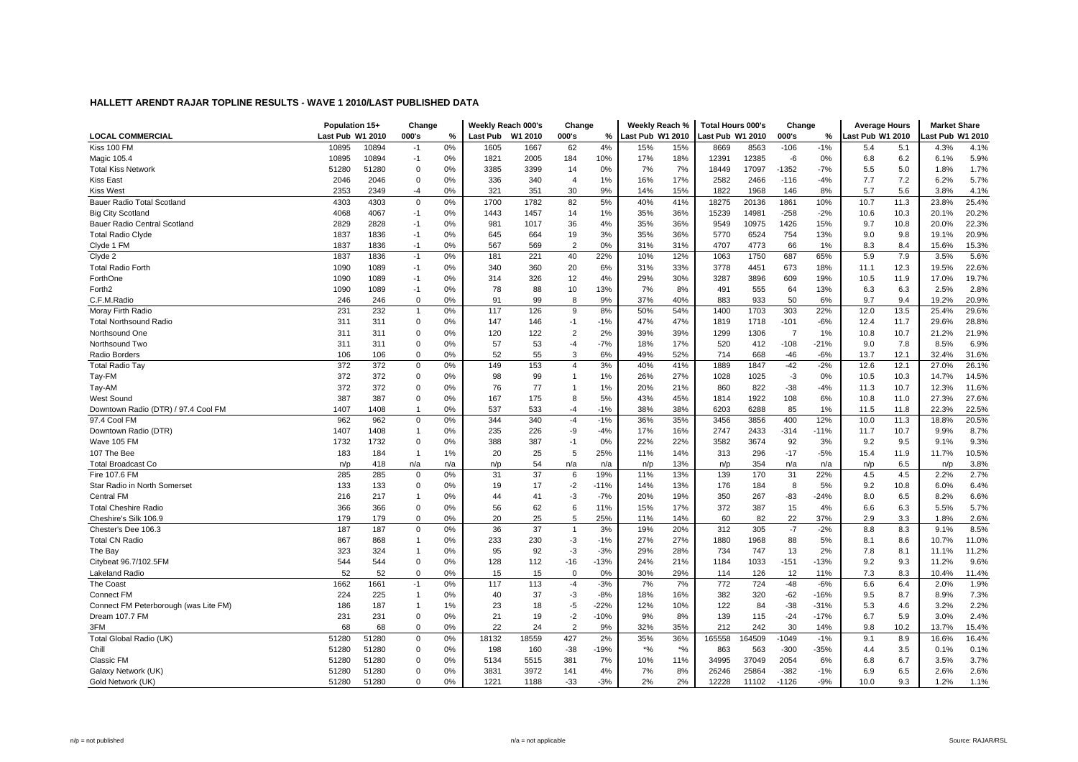|                                       | Population 15+   |       | Change       |      |                 | Weekly Reach 000's | Change         |        | Weekly Reach %   |       | <b>Total Hours 000's</b> |        | Change         |        | <b>Average Hours</b> |      | <b>Market Share</b> |       |
|---------------------------------------|------------------|-------|--------------|------|-----------------|--------------------|----------------|--------|------------------|-------|--------------------------|--------|----------------|--------|----------------------|------|---------------------|-------|
| <b>LOCAL COMMERCIAL</b>               | Last Pub W1 2010 |       | 000's        | $\%$ | <b>Last Pub</b> | W1 2010            | 000's          | %      | Last Pub W1 2010 |       | ast Pub W1 2010          |        | 000's          | %      | ast Pub W1 2010      |      | ast Pub W1 2010     |       |
| Kiss 100 FM                           | 10895            | 10894 | -1           | 0%   | 1605            | 1667               | 62             | 4%     | 15%              | 15%   | 8669                     | 8563   | $-106$         | $-1%$  | 5.4                  | 5.1  | 4.3%                | 4.1%  |
| Magic 105.4                           | 10895            | 10894 | $-1$         | 0%   | 1821            | 2005               | 184            | 10%    | 17%              | 18%   | 12391                    | 12385  | -6             | 0%     | 6.8                  | 6.2  | 6.1%                | 5.9%  |
| <b>Total Kiss Network</b>             | 51280            | 51280 | $\mathbf 0$  | 0%   | 3385            | 3399               | 14             | 0%     | 7%               | 7%    | 18449                    | 17097  | $-1352$        | $-7%$  | 5.5                  | 5.0  | 1.8%                | 1.7%  |
| <b>Kiss East</b>                      | 2046             | 2046  | $\Omega$     | 0%   | 336             | 340                | $\overline{4}$ | 1%     | 16%              | 17%   | 2582                     | 2466   | $-116$         | $-4%$  | 7.7                  | 7.2  | 6.2%                | 5.7%  |
| <b>Kiss West</b>                      | 2353             | 2349  | $-4$         | 0%   | 321             | 351                | 30             | 9%     | 14%              | 15%   | 1822                     | 1968   | 146            | 8%     | 5.7                  | 5.6  | 3.8%                | 4.1%  |
| Bauer Radio Total Scotland            | 4303             | 4303  | $\mathbf 0$  | 0%   | 1700            | 1782               | 82             | 5%     | 40%              | 41%   | 18275                    | 20136  | 1861           | 10%    | 10.7                 | 11.3 | 23.8%               | 25.4% |
| <b>Big City Scotland</b>              | 4068             | 4067  | -1           | 0%   | 1443            | 1457               | 14             | 1%     | 35%              | 36%   | 15239                    | 14981  | $-258$         | $-2%$  | 10.6                 | 10.3 | 20.1%               | 20.2% |
| Bauer Radio Central Scotland          | 2829             | 2828  | -1           | 0%   | 981             | 1017               | 36             | 4%     | 35%              | 36%   | 9549                     | 10975  | 1426           | 15%    | 9.7                  | 10.8 | 20.0%               | 22.3% |
| <b>Total Radio Clyde</b>              | 1837             | 1836  | $-1$         | 0%   | 645             | 664                | 19             | 3%     | 35%              | 36%   | 5770                     | 6524   | 754            | 13%    | 9.0                  | 9.8  | 19.1%               | 20.9% |
| Clyde 1 FM                            | 1837             | 1836  | $-1$         | 0%   | 567             | 569                | $\overline{2}$ | 0%     | 31%              | 31%   | 4707                     | 4773   | 66             | 1%     | 8.3                  | 8.4  | 15.6%               | 15.3% |
| Clyde 2                               | 1837             | 1836  | $-1$         | 0%   | 181             | 221                | 40             | 22%    | 10%              | 12%   | 1063                     | 1750   | 687            | 65%    | 5.9                  | 7.9  | 3.5%                | 5.6%  |
| <b>Total Radio Forth</b>              | 1090             | 1089  | $-1$         | 0%   | 340             | 360                | 20             | 6%     | 31%              | 33%   | 3778                     | 4451   | 673            | 18%    | 11.1                 | 12.3 | 19.5%               | 22.6% |
| ForthOne                              | 1090             | 1089  | -1           | 0%   | 314             | 326                | 12             | 4%     | 29%              | 30%   | 3287                     | 3896   | 609            | 19%    | 10.5                 | 11.9 | 17.0%               | 19.7% |
| Forth <sub>2</sub>                    | 1090             | 1089  | -1           | 0%   | 78              | 88                 | 10             | 13%    | 7%               | 8%    | 491                      | 555    | 64             | 13%    | 6.3                  | 6.3  | 2.5%                | 2.8%  |
| C.F.M.Radio                           | 246              | 246   | 0            | 0%   | 91              | 99                 | 8              | 9%     | 37%              | 40%   | 883                      | 933    | 50             | 6%     | 9.7                  | 9.4  | 19.2%               | 20.9% |
| Moray Firth Radio                     | 231              | 232   | -1           | 0%   | 117             | 126                | 9              | 8%     | 50%              | 54%   | 1400                     | 1703   | 303            | 22%    | 12.0                 | 13.5 | 25.4%               | 29.6% |
| <b>Total Northsound Radio</b>         | 311              | 311   | $\mathbf 0$  | 0%   | 147             | 146                | $-1$           | $-1%$  | 47%              | 47%   | 1819                     | 1718   | $-101$         | $-6%$  | 12.4                 | 11.7 | 29.6%               | 28.8% |
| Northsound One                        | 311              | 311   | $\Omega$     | 0%   | 120             | 122                | $\overline{2}$ | 2%     | 39%              | 39%   | 1299                     | 1306   | $\overline{7}$ | 1%     | 10.8                 | 10.7 | 21.2%               | 21.9% |
| Northsound Two                        | 311              | 311   | $\mathbf 0$  | 0%   | 57              | 53                 | $-4$           | $-7%$  | 18%              | 17%   | 520                      | 412    | $-108$         | $-21%$ | 9.0                  | 7.8  | 8.5%                | 6.9%  |
| Radio Borders                         | 106              | 106   | $\Omega$     | 0%   | 52              | 55                 | 3              | 6%     | 49%              | 52%   | 714                      | 668    | -46            | $-6%$  | 13.7                 | 12.1 | 32.4%               | 31.6% |
| <b>Total Radio Tay</b>                | 372              | 372   | $\mathbf 0$  | 0%   | 149             | 153                | $\overline{4}$ | 3%     | 40%              | 41%   | 1889                     | 1847   | $-42$          | $-2%$  | 12.6                 | 12.1 | 27.0%               | 26.1% |
| Tay-FM                                | 372              | 372   | $\Omega$     | 0%   | 98              | 99                 | $\overline{1}$ | 1%     | 26%              | 27%   | 1028                     | 1025   | $-3$           | 0%     | 10.5                 | 10.3 | 14.7%               | 14.5% |
| Tay-AM                                | 372              | 372   | $\mathbf 0$  | 0%   | 76              | 77                 | $\mathbf{1}$   | 1%     | 20%              | 21%   | 860                      | 822    | -38            | $-4%$  | 11.3                 | 10.7 | 12.3%               | 11.6% |
| <b>West Sound</b>                     | 387              | 387   | $\mathbf 0$  | 0%   | 167             | 175                | 8              | 5%     | 43%              | 45%   | 1814                     | 1922   | 108            | 6%     | 10.8                 | 11.0 | 27.3%               | 27.6% |
| Downtown Radio (DTR) / 97.4 Cool FM   | 1407             | 1408  | -1           | 0%   | 537             | 533                | $-4$           | $-1%$  | 38%              | 38%   | 6203                     | 6288   | 85             | 1%     | 11.5                 | 11.8 | 22.3%               | 22.5% |
| 97.4 Cool FM                          | 962              | 962   | 0            | 0%   | 344             | 340                | $-4$           | $-1%$  | 36%              | 35%   | 3456                     | 3856   | 400            | 12%    | 10.0                 | 11.3 | 18.8%               | 20.5% |
| Downtown Radio (DTR)                  | 1407             | 1408  | -1           | 0%   | 235             | 226                | -9             | $-4%$  | 17%              | 16%   | 2747                     | 2433   | $-314$         | $-11%$ | 11.7                 | 10.7 | 9.9%                | 8.7%  |
| Wave 105 FM                           | 1732             | 1732  | $\Omega$     | 0%   | 388             | 387                | $-1$           | 0%     | 22%              | 22%   | 3582                     | 3674   | 92             | 3%     | 9.2                  | 9.5  | 9.1%                | 9.3%  |
| 107 The Bee                           | 183              | 184   | $\mathbf{1}$ | 1%   | 20              | 25                 | 5              | 25%    | 11%              | 14%   | 313                      | 296    | $-17$          | $-5%$  | 15.4                 | 11.9 | 11.7%               | 10.5% |
| <b>Total Broadcast Co</b>             | n/p              | 418   | n/a          | n/a  | n/p             | 54                 | n/a            | n/a    | n/p              | 13%   | n/p                      | 354    | n/a            | n/a    | n/p                  | 6.5  | n/p                 | 3.8%  |
| Fire 107.6 FM                         | 285              | 285   | $\mathbf 0$  | 0%   | 31              | 37                 | 6              | 19%    | 11%              | 13%   | 139                      | 170    | 31             | 22%    | 4.5                  | 4.5  | 2.2%                | 2.7%  |
| Star Radio in North Somerset          | 133              | 133   | $\mathbf 0$  | 0%   | 19              | 17                 | $-2$           | $-11%$ | 14%              | 13%   | 176                      | 184    | 8              | 5%     | 9.2                  | 10.8 | 6.0%                | 6.4%  |
| <b>Central FM</b>                     | 216              | 217   | $\mathbf{1}$ | 0%   | 44              | 41                 | $-3$           | $-7%$  | 20%              | 19%   | 350                      | 267    | -83            | $-24%$ | 8.0                  | 6.5  | 8.2%                | 6.6%  |
| <b>Total Cheshire Radio</b>           | 366              | 366   | $\Omega$     | 0%   | 56              | 62                 | 6              | 11%    | 15%              | 17%   | 372                      | 387    | 15             | 4%     | 6.6                  | 6.3  | 5.5%                | 5.7%  |
| Cheshire's Silk 106.9                 | 179              | 179   | $\Omega$     | 0%   | 20              | 25                 | 5              | 25%    | 11%              | 14%   | 60                       | 82     | 22             | 37%    | 2.9                  | 3.3  | 1.8%                | 2.6%  |
| Chester's Dee 106.3                   | 187              | 187   | $\Omega$     | 0%   | 36              | 37                 | $\mathbf{1}$   | 3%     | 19%              | 20%   | 312                      | 305    | $-7$           | $-2%$  | 8.8                  | 8.3  | 9.1%                | 8.5%  |
| <b>Total CN Radio</b>                 | 867              | 868   | -1           | 0%   | 233             | 230                | $-3$           | $-1%$  | 27%              | 27%   | 1880                     | 1968   | 88             | 5%     | 8.1                  | 8.6  | 10.7%               | 11.0% |
| The Bay                               | 323              | 324   | -1           | 0%   | 95              | 92                 | $-3$           | $-3%$  | 29%              | 28%   | 734                      | 747    | 13             | 2%     | 7.8                  | 8.1  | 11.1%               | 11.2% |
| Citybeat 96.7/102.5FM                 | 544              | 544   | $\mathbf 0$  | 0%   | 128             | 112                | $-16$          | $-13%$ | 24%              | 21%   | 1184                     | 1033   | $-151$         | $-13%$ | 9.2                  | 9.3  | 11.2%               | 9.6%  |
| Lakeland Radio                        | 52               | 52    | $\Omega$     | 0%   | 15              | 15                 | $\mathbf 0$    | 0%     | 30%              | 29%   | 114                      | 126    | 12             | 11%    | 7.3                  | 8.3  | 10.4%               | 11.4% |
| The Coast                             | 1662             | 1661  | -1           | 0%   | 117             | 113                | $-4$           | $-3%$  | 7%               | 7%    | 772                      | 724    | $-48$          | $-6%$  | 6.6                  | 6.4  | 2.0%                | 1.9%  |
| <b>Connect FM</b>                     | 224              | 225   | -1           | 0%   | 40              | 37                 | $-3$           | $-8%$  | 18%              | 16%   | 382                      | 320    | $-62$          | $-16%$ | 9.5                  | 8.7  | 8.9%                | 7.3%  |
| Connect FM Peterborough (was Lite FM) | 186              | 187   | -1           | 1%   | 23              | 18                 | $-5$           | $-22%$ | 12%              | 10%   | 122                      | 84     | $-38$          | $-31%$ | 5.3                  | 4.6  | 3.2%                | 2.2%  |
| Dream 107.7 FM                        | 231              | 231   | $\mathbf 0$  | 0%   | 21              | 19                 | $-2$           | $-10%$ | 9%               | 8%    | 139                      | 115    | $-24$          | $-17%$ | 6.7                  | 5.9  | 3.0%                | 2.4%  |
| 3FM                                   | 68               | 68    | $\Omega$     | 0%   | 22              | 24                 | $\overline{2}$ | 9%     | 32%              | 35%   | 212                      | 242    | 30             | 14%    | 9.8                  | 10.2 | 13.7%               | 15.4% |
| Total Global Radio (UK)               | 51280            | 51280 | $\mathbf 0$  | 0%   | 18132           | 18559              | 427            | 2%     | 35%              | 36%   | 165558                   | 164509 | $-1049$        | $-1%$  | 9.1                  | 8.9  | 16.6%               | 16.4% |
| Chill                                 | 51280            | 51280 | $\Omega$     | 0%   | 198             | 160                | $-38$          | $-19%$ | $*$ %            | $*$ % | 863                      | 563    | $-300$         | $-35%$ | 4.4                  | 3.5  | 0.1%                | 0.1%  |
| Classic FM                            | 51280            | 51280 | $\mathbf 0$  | 0%   | 5134            | 5515               | 381            | 7%     | 10%              | 11%   | 34995                    | 37049  | 2054           | 6%     | 6.8                  | 6.7  | 3.5%                | 3.7%  |
| Galaxy Network (UK)                   | 51280            | 51280 | $\mathbf 0$  | 0%   | 3831            | 3972               | 141            | 4%     | 7%               | 8%    | 26246                    | 25864  | $-382$         | $-1%$  | 6.9                  | 6.5  | 2.6%                | 2.6%  |
|                                       | 51280            | 51280 | $\Omega$     | 0%   | 1221            | 1188               | $-33$          | $-3%$  | 2%               | 2%    | 12228                    | 11102  | $-1126$        | $-9%$  | 10.0                 | 9.3  | 1.2%                | 1.1%  |
| Gold Network (UK)                     |                  |       |              |      |                 |                    |                |        |                  |       |                          |        |                |        |                      |      |                     |       |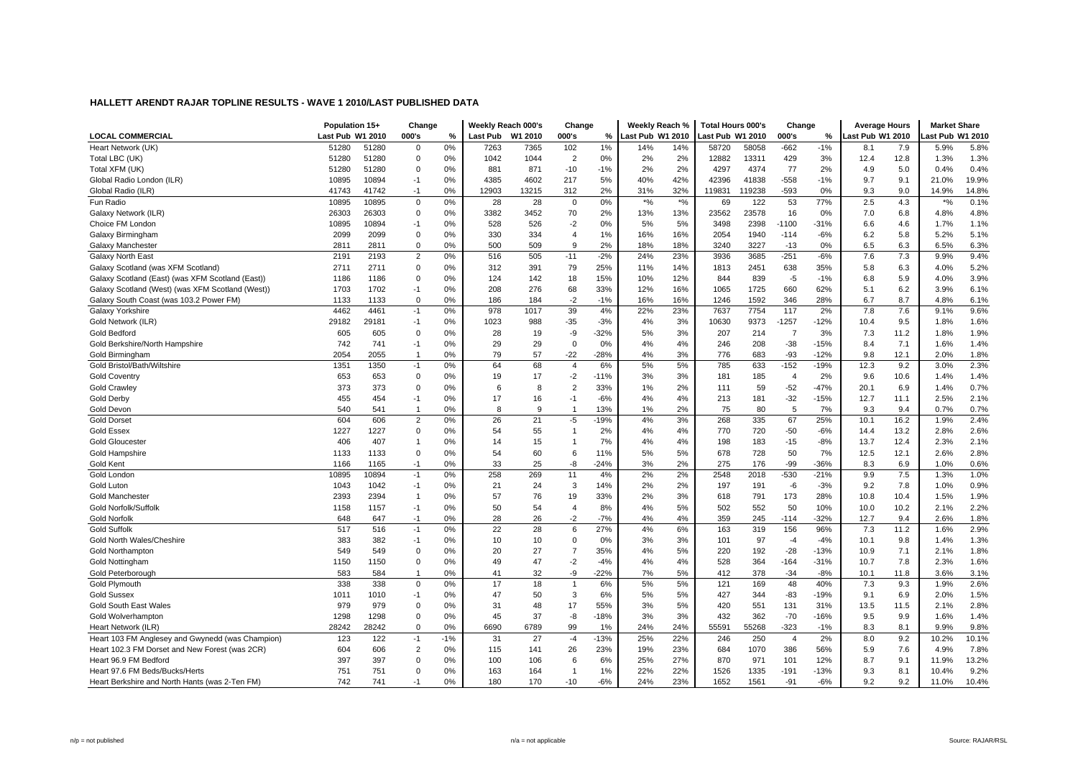| <b>LOCAL COMMERCIAL</b>                          | Population 15+            |       | Change<br>000's |         | Weekly Reach 000's<br><b>Last Pub</b> | W1 2010 | Change<br>000's |         | Weekly Reach %<br>Last Pub W1 2010 |       | <b>Total Hours 000's</b><br>ast Pub W1 2010 |        | Change<br>000's |            | <b>Average Hours</b><br>ast Pub W1 2010 |      | <b>Market Share</b><br>ast Pub W1 2010 |       |
|--------------------------------------------------|---------------------------|-------|-----------------|---------|---------------------------------------|---------|-----------------|---------|------------------------------------|-------|---------------------------------------------|--------|-----------------|------------|-----------------------------------------|------|----------------------------------------|-------|
| Heart Network (UK)                               | Last Pub W1 2010<br>51280 | 51280 | $\mathbf 0$     | %<br>0% | 7263                                  | 7365    | 102             | %<br>1% | 14%                                | 14%   | 58720                                       | 58058  | $-662$          | %<br>$-1%$ | 8.1                                     | 7.9  | 5.9%                                   | 5.8%  |
| Total LBC (UK)                                   | 51280                     | 51280 | 0               | $0\%$   | 1042                                  | 1044    | $\overline{2}$  | 0%      | 2%                                 | 2%    | 12882                                       | 13311  | 429             | 3%         | 12.4                                    | 12.8 | 1.3%                                   | 1.3%  |
| Total XFM (UK)                                   | 51280                     | 51280 | $\mathbf 0$     | 0%      | 881                                   | 871     | $-10$           | $-1%$   | 2%                                 | 2%    | 4297                                        | 4374   | 77              | 2%         | 4.9                                     | 5.0  | 0.4%                                   | 0.4%  |
| Global Radio London (ILR)                        | 10895                     | 10894 | $-1$            | 0%      | 4385                                  | 4602    | 217             | 5%      | 40%                                | 42%   | 42396                                       | 41838  | $-558$          | $-1%$      | 9.7                                     | 9.1  | 21.0%                                  | 19.9% |
| Global Radio (ILR)                               | 41743                     | 41742 | $-1$            | 0%      | 12903                                 | 13215   | 312             | 2%      | 31%                                | 32%   | 119831                                      | 119238 | $-593$          | 0%         | 9.3                                     | 9.0  | 14.9%                                  | 14.8% |
| Fun Radio                                        | 10895                     | 10895 | $\mathbf{0}$    | 0%      | 28                                    | 28      | $\Omega$        | 0%      | $\star o_0$                        | $*$ % | 69                                          | 122    | 53              | 77%        | 2.5                                     | 4.3  | $*9/0$                                 | 0.1%  |
| Galaxy Network (ILR)                             | 26303                     | 26303 | $\mathbf 0$     | 0%      | 3382                                  | 3452    | 70              | 2%      | 13%                                | 13%   | 23562                                       | 23578  | 16              | 0%         | 7.0                                     | 6.8  | 4.8%                                   | 4.8%  |
| Choice FM London                                 | 10895                     | 10894 | $-1$            | 0%      | 528                                   | 526     | $-2$            | 0%      | 5%                                 | 5%    | 3498                                        | 2398   | $-1100$         | $-31%$     | 6.6                                     | 4.6  | 1.7%                                   | 1.1%  |
| Galaxy Birmingham                                | 2099                      | 2099  | 0               | 0%      | 330                                   | 334     | $\overline{4}$  | 1%      | 16%                                | 16%   | 2054                                        | 1940   | $-114$          | $-6%$      | 6.2                                     | 5.8  | 5.2%                                   | 5.1%  |
| Galaxy Manchester                                | 2811                      | 2811  | 0               | 0%      | 500                                   | 509     | $\mathbf{Q}$    | 2%      | 18%                                | 18%   | 3240                                        | 3227   | $-13$           | 0%         | 6.5                                     | 6.3  | 6.5%                                   | 6.3%  |
| <b>Galaxy North East</b>                         | 2191                      | 2193  | $\overline{2}$  | 0%      | 516                                   | 505     | $-11$           | $-2%$   | 24%                                | 23%   | 3936                                        | 3685   | $-251$          | $-6%$      | 7.6                                     | 7.3  | 9.9%                                   | 9.4%  |
| Galaxy Scotland (was XFM Scotland)               | 2711                      | 2711  | $\Omega$        | 0%      | 312                                   | 391     | 79              | 25%     | 11%                                | 14%   | 1813                                        | 2451   | 638             | 35%        | 5.8                                     | 6.3  | 4.0%                                   | 5.2%  |
| Galaxy Scotland (East) (was XFM Scotland (East)) | 1186                      | 1186  | $\mathbf 0$     | 0%      | 124                                   | 142     | 18              | 15%     | 10%                                | 12%   | 844                                         | 839    | $-5$            | $-1%$      | 6.8                                     | 5.9  | 4.0%                                   | 3.9%  |
| Galaxy Scotland (West) (was XFM Scotland (West)) | 1703                      | 1702  | -1              | 0%      | 208                                   | 276     | 68              | 33%     | 12%                                | 16%   | 1065                                        | 1725   | 660             | 62%        | 5.1                                     | 6.2  | 3.9%                                   | 6.1%  |
| Galaxy South Coast (was 103.2 Power FM)          | 1133                      | 1133  | $\mathbf 0$     | 0%      | 186                                   | 184     | $-2$            | $-1%$   | 16%                                | 16%   | 1246                                        | 1592   | 346             | 28%        | 6.7                                     | 8.7  | 4.8%                                   | 6.1%  |
| Galaxy Yorkshire                                 | 4462                      | 4461  | $-1$            | 0%      | 978                                   | 1017    | 39              | 4%      | 22%                                | 23%   | 7637                                        | 7754   | 117             | 2%         | 7.8                                     | 7.6  | 9.1%                                   | 9.6%  |
| Gold Network (ILR)                               | 29182                     | 29181 | $-1$            | 0%      | 1023                                  | 988     | $-35$           | $-3%$   | 4%                                 | 3%    | 10630                                       | 9373   | $-1257$         | $-12%$     | 10.4                                    | 9.5  | 1.8%                                   | 1.6%  |
| <b>Gold Bedford</b>                              | 605                       | 605   | $\mathbf 0$     | 0%      | 28                                    | 19      | -9              | $-32%$  | 5%                                 | 3%    | 207                                         | 214    | $\overline{7}$  | 3%         | 7.3                                     | 11.2 | 1.8%                                   | 1.9%  |
| Gold Berkshire/North Hampshire                   | 742                       | 741   | $-1$            | 0%      | 29                                    | 29      | $\mathbf 0$     | 0%      | 4%                                 | 4%    | 246                                         | 208    | $-38$           | $-15%$     | 8.4                                     | 7.1  | 1.6%                                   | 1.4%  |
| Gold Birmingham                                  | 2054                      | 2055  | -1              | 0%      | 79                                    | 57      | $-22$           | $-28%$  | 4%                                 | 3%    | 776                                         | 683    | $-93$           | $-12%$     | 9.8                                     | 12.1 | 2.0%                                   | 1.8%  |
| Gold Bristol/Bath/Wiltshire                      | 1351                      | 1350  | $-1$            | 0%      | 64                                    | 68      | $\overline{4}$  | 6%      | 5%                                 | 5%    | 785                                         | 633    | $-152$          | $-19%$     | 12.3                                    | 9.2  | 3.0%                                   | 2.3%  |
| <b>Gold Coventry</b>                             | 653                       | 653   | $\mathbf 0$     | 0%      | 19                                    | 17      | $-2$            | $-11%$  | 3%                                 | 3%    | 181                                         | 185    | $\overline{4}$  | 2%         | 9.6                                     | 10.6 | 1.4%                                   | 1.4%  |
| <b>Gold Crawley</b>                              | 373                       | 373   | $\mathbf 0$     | 0%      | 6                                     | 8       | $\overline{2}$  | 33%     | 1%                                 | 2%    | 111                                         | 59     | $-52$           | $-47%$     | 20.1                                    | 6.9  | 1.4%                                   | 0.7%  |
| <b>Gold Derby</b>                                | 455                       | 454   | $-1$            | 0%      | 17                                    | 16      | $-1$            | $-6%$   | 4%                                 | 4%    | 213                                         | 181    | $-32$           | $-15%$     | 12.7                                    | 11.1 | 2.5%                                   | 2.1%  |
| Gold Devon                                       | 540                       | 541   | $\overline{1}$  | 0%      | 8                                     | 9       | $\mathbf{1}$    | 13%     | 1%                                 | 2%    | 75                                          | 80     | 5               | 7%         | 9.3                                     | 9.4  | 0.7%                                   | 0.7%  |
| <b>Gold Dorset</b>                               | 604                       | 606   | $\overline{2}$  | 0%      | 26                                    | 21      | $-5$            | $-19%$  | 4%                                 | 3%    | 268                                         | 335    | 67              | 25%        | 10.1                                    | 16.2 | 1.9%                                   | 2.4%  |
| <b>Gold Essex</b>                                | 1227                      | 1227  | 0               | 0%      | 54                                    | 55      | -1              | 2%      | 4%                                 | 4%    | 770                                         | 720    | $-50$           | $-6%$      | 14.4                                    | 13.2 | 2.8%                                   | 2.6%  |
| <b>Gold Gloucester</b>                           | 406                       | 407   | 1               | 0%      | 14                                    | 15      | $\overline{1}$  | 7%      | 4%                                 | 4%    | 198                                         | 183    | $-15$           | $-8%$      | 13.7                                    | 12.4 | 2.3%                                   | 2.1%  |
| <b>Gold Hampshire</b>                            | 1133                      | 1133  | $\mathbf 0$     | 0%      | 54                                    | 60      | 6               | 11%     | 5%                                 | 5%    | 678                                         | 728    | 50              | 7%         | 12.5                                    | 12.1 | 2.6%                                   | 2.8%  |
| <b>Gold Kent</b>                                 | 1166                      | 1165  | $-1$            | 0%      | 33                                    | 25      | -8              | $-24%$  | 3%                                 | 2%    | 275                                         | 176    | -99             | -36%       | 8.3                                     | 6.9  | 1.0%                                   | 0.6%  |
| Gold London                                      | 10895                     | 10894 | $-1$            | 0%      | 258                                   | 269     | 11              | 4%      | 2%                                 | 2%    | 2548                                        | 2018   | $-530$          | $-21%$     | 9.9                                     | 7.5  | 1.3%                                   | 1.0%  |
| Gold Lutor                                       | 1043                      | 1042  | $-1$            | 0%      | 21                                    | 24      | 3               | 14%     | 2%                                 | 2%    | 197                                         | 191    | -6              | $-3%$      | 9.2                                     | 7.8  | 1.0%                                   | 0.9%  |
| <b>Gold Manchester</b>                           | 2393                      | 2394  | $\overline{1}$  | 0%      | 57                                    | 76      | 19              | 33%     | 2%                                 | 3%    | 618                                         | 791    | 173             | 28%        | 10.8                                    | 10.4 | 1.5%                                   | 1.9%  |
| Gold Norfolk/Suffolk                             | 1158                      | 1157  | $-1$            | 0%      | 50                                    | 54      | $\overline{4}$  | 8%      | 4%                                 | 5%    | 502                                         | 552    | 50              | 10%        | 10.0                                    | 10.2 | 2.1%                                   | 2.2%  |
| <b>Gold Norfolk</b>                              | 648                       | 647   | $-1$            | 0%      | 28                                    | 26      | $-2$            | $-7%$   | 4%                                 | 4%    | 359                                         | 245    | $-114$          | $-32%$     | 12.7                                    | 9.4  | 2.6%                                   | 1.8%  |
| <b>Gold Suffolk</b>                              | 517                       | 516   | $-1$            | 0%      | 22                                    | 28      | 6               | 27%     | 4%                                 | 6%    | 163                                         | 319    | 156             | 96%        | 7.3                                     | 11.2 | 1.6%                                   | 2.9%  |
| Gold North Wales/Cheshire                        | 383                       | 382   | $-1$            | 0%      | 10                                    | 10      | $\mathbf 0$     | 0%      | 3%                                 | 3%    | 101                                         | 97     | $-4$            | $-4%$      | 10.1                                    | 9.8  | 1.4%                                   | 1.3%  |
| <b>Gold Northampton</b>                          | 549                       | 549   | $\mathbf 0$     | 0%      | 20                                    | 27      | $\overline{7}$  | 35%     | 4%                                 | 5%    | 220                                         | 192    | $-28$           | $-13%$     | 10.9                                    | 7.1  | 2.1%                                   | 1.8%  |
| Gold Nottingham                                  | 1150                      | 1150  | $\Omega$        | 0%      | 49                                    | 47      | $-2$            | $-4%$   | 4%                                 | 4%    | 528                                         | 364    | $-164$          | $-31%$     | 10.7                                    | 7.8  | 2.3%                                   | 1.6%  |
| Gold Peterborough                                | 583                       | 584   | $\mathbf{1}$    | 0%      | 41                                    | 32      | -9              | $-22%$  | 7%                                 | 5%    | 412                                         | 378    | $-34$           | $-8%$      | 10.1                                    | 11.8 | 3.6%                                   | 3.1%  |
| <b>Gold Plymouth</b>                             | 338                       | 338   | $\mathbf{0}$    | 0%      | 17                                    | 18      | $\mathbf{1}$    | 6%      | 5%                                 | 5%    | 121                                         | 169    | 48              | 40%        | 7.3                                     | 9.3  | 1.9%                                   | 2.6%  |
| <b>Gold Sussex</b>                               | 1011                      | 1010  | $-1$            | 0%      | 47                                    | 50      | 3               | 6%      | 5%                                 | 5%    | 427                                         | 344    | $-83$           | $-19%$     | 9.1                                     | 6.9  | 2.0%                                   | 1.5%  |
| Gold South East Wales                            | 979                       | 979   | $\Omega$        | 0%      | 31                                    | 48      | 17              | 55%     | 3%                                 | 5%    | 420                                         | 551    | 131             | 31%        | 13.5                                    | 11.5 | 2.1%                                   | 2.8%  |
| Gold Wolverhampton                               | 1298                      | 1298  | $\mathbf 0$     | 0%      | 45                                    | 37      | -8              | $-18%$  | 3%                                 | 3%    | 432                                         | 362    | $-70$           | $-16%$     | 9.5                                     | 9.9  | 1.6%                                   | 1.4%  |
| Heart Network (ILR)                              | 28242                     | 28242 | $\Omega$        | 0%      | 6690                                  | 6789    | 99              | 1%      | 24%                                | 24%   | 55591                                       | 55268  | -323            | $-1%$      | 8.3                                     | 8.1  | 9.9%                                   | 9.8%  |
| Heart 103 FM Anglesey and Gwynedd (was Champion) | 123                       | 122   | $-1$            | $-1%$   | 31                                    | 27      | $-4$            | $-13%$  | 25%                                | 22%   | 246                                         | 250    | $\overline{4}$  | 2%         | 8.0                                     | 9.2  | 10.2%                                  | 10.1% |
| Heart 102.3 FM Dorset and New Forest (was 2CR)   | 604                       | 606   | $\overline{2}$  | 0%      | 115                                   | 141     | 26              | 23%     | 19%                                | 23%   | 684                                         | 1070   | 386             | 56%        | 5.9                                     | 7.6  | 4.9%                                   | 7.8%  |
| Heart 96.9 FM Bedford                            | 397                       | 397   | $\mathbf 0$     | 0%      | 100                                   | 106     | 6               | 6%      | 25%                                | 27%   | 870                                         | 971    | 101             | 12%        | 8.7                                     | 9.1  | 11.9%                                  | 13.2% |
| Heart 97.6 FM Beds/Bucks/Herts                   | 751                       | 751   | $\Omega$        | 0%      | 163                                   | 164     | -1              | 1%      | 22%                                | 22%   | 1526                                        | 1335   | $-191$          | $-13%$     | 9.3                                     | 8.1  | 10.4%                                  | 9.2%  |
| Heart Berkshire and North Hants (was 2-Ten FM)   | 742                       | 741   | $-1$            | 0%      | 180                                   | 170     | $-10$           | $-6%$   | 24%                                | 23%   | 1652                                        | 1561   | $-91$           | $-6%$      | 9.2                                     | 9.2  | 11.0%                                  | 10.4% |
|                                                  |                           |       |                 |         |                                       |         |                 |         |                                    |       |                                             |        |                 |            |                                         |      |                                        |       |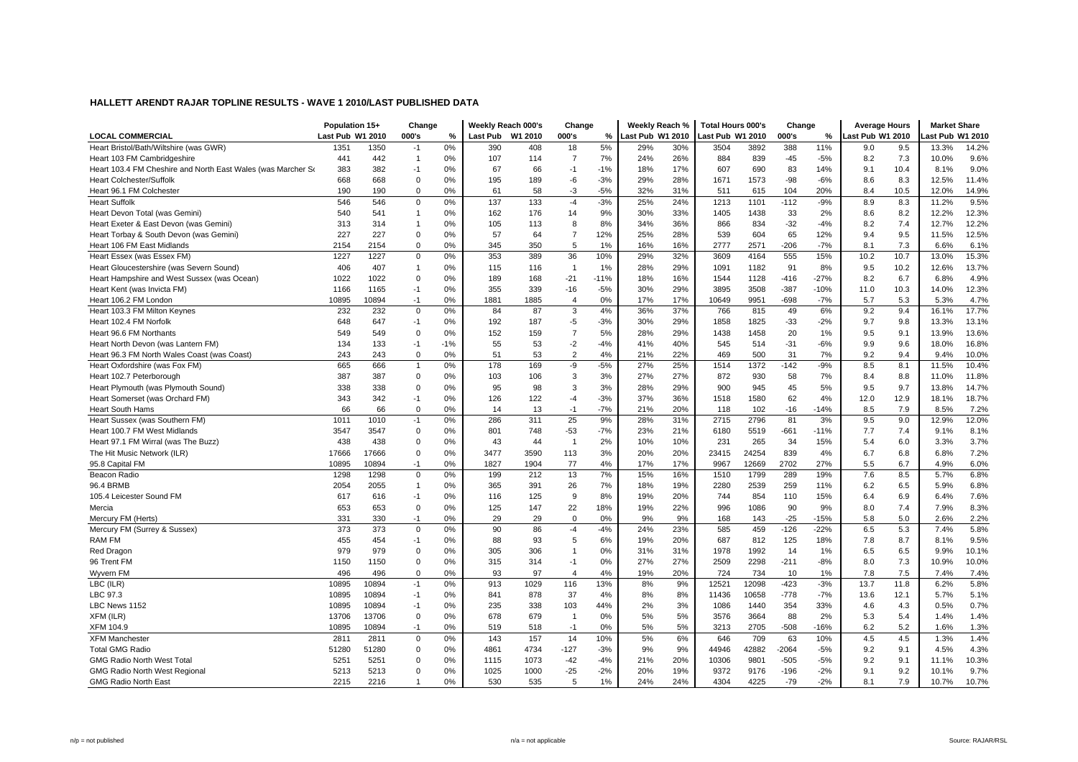| <b>LOCAL COMMERCIAL</b>                                                                     | Population 15+<br>Last Pub W1 2010 |              | Change<br>000's  | %        | Weekly Reach 000's<br>Last Pub W1 2010 |            | Change<br>000's     | %         | Weekly Reach %<br>Last Pub W1 2010 |            | <b>Total Hours 000's</b><br>ast Pub W1 2010 |              | Change<br>000's | %      | <b>Average Hours</b><br>ast Pub W1 2010 |      | <b>Market Share</b><br>ast Pub W1 2010 |               |
|---------------------------------------------------------------------------------------------|------------------------------------|--------------|------------------|----------|----------------------------------------|------------|---------------------|-----------|------------------------------------|------------|---------------------------------------------|--------------|-----------------|--------|-----------------------------------------|------|----------------------------------------|---------------|
| Heart Bristol/Bath/Wiltshire (was GWR)                                                      | 1351                               | 1350         | $-1$             | 0%       | 390                                    | 408        | 18                  | 5%        | 29%                                | 30%        | 3504                                        | 3892         | 388             | 11%    | 9.0                                     | 9.5  | 13.3%                                  | 14.2%         |
|                                                                                             | 441                                | 442          | $\overline{1}$   | 0%       | 107                                    | 114        | $\overline{7}$      | 7%        | 24%                                | 26%        | 884                                         | 839          | $-45$           | $-5%$  | 8.2                                     | 7.3  | 10.0%                                  | 9.6%          |
| Heart 103 FM Cambridgeshire<br>Heart 103.4 FM Cheshire and North East Wales (was Marcher So | 383                                | 382          | $-1$             | 0%       | 67                                     | 66         | $-1$                | $-1%$     | 18%                                | 17%        | 607                                         | 690          | 83              | 14%    | 9.1                                     | 10.4 | 8.1%                                   | 9.0%          |
| <b>Heart Colchester/Suffolk</b>                                                             | 668                                | 668          | $\mathbf 0$      | 0%       | 195                                    | 189        | -6                  | $-3%$     | 29%                                | 28%        | 1671                                        | 1573         | $-98$           | $-6%$  | 8.6                                     | 8.3  | 12.5%                                  | 11.4%         |
| Heart 96.1 FM Colchester                                                                    | 190                                | 190          | $\Omega$         | 0%       | 61                                     | 58         | $-3$                | $-5%$     | 32%                                | 31%        | 511                                         | 615          | 104             | 20%    | 8.4                                     | 10.5 | 12.0%                                  | 14.9%         |
| <b>Heart Suffolk</b>                                                                        | 546                                | 546          | $\mathbf 0$      | 0%       | 137                                    | 133        | $-4$                | $-3%$     | 25%                                | 24%        | 1213                                        | 1101         | $-112$          | $-9%$  | 8.9                                     | 8.3  | 11.2%                                  | 9.5%          |
| Heart Devon Total (was Gemini)                                                              | 540                                | 541          |                  | 0%       | 162                                    | 176        | 14                  | 9%        | 30%                                | 33%        | 1405                                        | 1438         | 33              | 2%     | 8.6                                     | 8.2  | 12.2%                                  | 12.3%         |
| Heart Exeter & East Devon (was Gemini)                                                      | 313                                | 314          | $\overline{1}$   | 0%       | 105                                    | 113        | 8                   | 8%        | 34%                                | 36%        | 866                                         | 834          | $-32$           | $-4%$  | 8.2                                     | 7.4  | 12.7%                                  | 12.2%         |
|                                                                                             | 227                                | 227          |                  | 0%       | 57                                     |            |                     | 12%       | 25%                                | 28%        |                                             | 604          |                 | 12%    | 9.4                                     | 9.5  | 11.5%                                  | 12.5%         |
| Heart Torbay & South Devon (was Gemini)                                                     |                                    |              | 0<br>$\mathbf 0$ |          |                                        | 64         | $\overline{7}$<br>5 |           |                                    |            | 539                                         |              | 65              | $-7%$  |                                         | 7.3  |                                        |               |
| Heart 106 FM East Midlands                                                                  | 2154<br>1227                       | 2154<br>1227 | $\mathbf 0$      | 0%<br>0% | 345<br>353                             | 350<br>389 | 36                  | 1%<br>10% | 16%<br>29%                         | 16%<br>32% | 2777<br>3609                                | 2571<br>4164 | $-206$<br>555   | 15%    | 8.1<br>10.2                             | 10.7 | 6.6%<br>13.0%                          | 6.1%<br>15.3% |
| Heart Essex (was Essex FM)                                                                  | 406                                |              | $\overline{1}$   |          |                                        |            |                     |           |                                    |            |                                             |              |                 |        |                                         |      |                                        |               |
| Heart Gloucestershire (was Severn Sound)                                                    |                                    | 407          |                  | 0%       | 115                                    | 116        | $\overline{1}$      | 1%        | 28%                                | 29%        | 1091                                        | 1182         | 91              | 8%     | 9.5                                     | 10.2 | 12.6%                                  | 13.7%         |
| Heart Hampshire and West Sussex (was Ocean)                                                 | 1022                               | 1022         | $\mathbf 0$      | 0%       | 189                                    | 168        | $-21$               | $-11%$    | 18%                                | 16%        | 1544                                        | 1128         | $-416$          | $-27%$ | 8.2                                     | 6.7  | 6.8%                                   | 4.9%          |
| Heart Kent (was Invicta FM)                                                                 | 1166                               | 1165         | $-1$             | 0%       | 355                                    | 339        | $-16$               | $-5%$     | 30%                                | 29%        | 3895                                        | 3508         | $-387$          | $-10%$ | 11.0                                    | 10.3 | 14.0%                                  | 12.3%         |
| Heart 106.2 FM London                                                                       | 10895                              | 10894        | $-1$             | 0%       | 1881                                   | 1885       | $\overline{4}$      | 0%        | 17%                                | 17%        | 10649                                       | 9951         | $-698$          | $-7%$  | 5.7                                     | 5.3  | 5.3%                                   | 4.7%          |
| Heart 103.3 FM Milton Keynes                                                                | 232                                | 232          | $\mathbf 0$      | 0%       | 84                                     | 87         | $\mathbf 3$         | 4%        | 36%                                | 37%        | 766                                         | 815          | 49              | 6%     | 9.2                                     | 9.4  | 16.1%                                  | 17.7%         |
| Heart 102.4 FM Norfolk                                                                      | 648                                | 647          | $-1$             | 0%       | 192                                    | 187        | $-5$                | $-3%$     | 30%                                | 29%        | 1858                                        | 1825         | $-33$           | $-2%$  | 9.7                                     | 9.8  | 13.3%                                  | 13.1%         |
| Heart 96.6 FM Northants                                                                     | 549                                | 549          | $\Omega$         | 0%       | 152                                    | 159        | $\overline{7}$      | 5%        | 28%                                | 29%        | 1438                                        | 1458         | 20              | 1%     | 9.5                                     | 9.1  | 13.9%                                  | 13.6%         |
| Heart North Devon (was Lantern FM)                                                          | 134                                | 133          | $-1$             | $-1%$    | 55                                     | 53         | $-2$                | $-4%$     | 41%                                | 40%        | 545                                         | 514          | $-31$           | $-6%$  | 9.9                                     | 9.6  | 18.0%                                  | 16.8%         |
| Heart 96.3 FM North Wales Coast (was Coast)                                                 | 243                                | 243          | $\mathbf 0$      | 0%       | 51                                     | 53         | $\overline{2}$      | 4%        | 21%                                | 22%        | 469                                         | 500          | 31              | 7%     | 9.2                                     | 9.4  | 9.4%                                   | 10.0%         |
| Heart Oxfordshire (was Fox FM)                                                              | 665                                | 666          |                  | 0%       | 178                                    | 169        | -9                  | $-5%$     | 27%                                | 25%        | 1514                                        | 1372         | $-142$          | $-9%$  | 8.5                                     | 8.1  | 11.5%                                  | 10.4%         |
| Heart 102.7 Peterborough                                                                    | 387                                | 387          | $\mathbf 0$      | 0%       | 103                                    | 106        | 3                   | 3%        | 27%                                | 27%        | 872                                         | 930          | 58              | 7%     | 8.4                                     | 8.8  | 11.0%                                  | 11.8%         |
| Heart Plymouth (was Plymouth Sound)                                                         | 338                                | 338          | 0                | 0%       | 95                                     | 98         | 3                   | 3%        | 28%                                | 29%        | 900                                         | 945          | 45              | 5%     | 9.5                                     | 9.7  | 13.8%                                  | 14.7%         |
| Heart Somerset (was Orchard FM)                                                             | 343                                | 342          | $-1$             | 0%       | 126                                    | 122        | $-4$                | $-3%$     | 37%                                | 36%        | 1518                                        | 1580         | 62              | 4%     | 12.0                                    | 12.9 | 18.1%                                  | 18.7%         |
| <b>Heart South Hams</b>                                                                     | 66                                 | 66           | $\mathbf 0$      | 0%       | 14                                     | 13         | $-1$                | $-7%$     | 21%                                | 20%        | 118                                         | 102          | $-16$           | $-14%$ | 8.5                                     | 7.9  | 8.5%                                   | 7.2%          |
| Heart Sussex (was Southern FM)                                                              | 1011                               | 1010         | $-1$             | 0%       | 286                                    | 311        | 25                  | 9%        | 28%                                | 31%        | 2715                                        | 2796         | 81              | 3%     | 9.5                                     | 9.0  | 12.9%                                  | 12.0%         |
| Heart 100.7 FM West Midlands                                                                | 3547                               | 3547         | $\mathbf 0$      | 0%       | 801                                    | 748        | $-53$               | $-7%$     | 23%                                | 21%        | 6180                                        | 5519         | $-661$          | $-11%$ | 7.7                                     | 7.4  | 9.1%                                   | 8.1%          |
| Heart 97.1 FM Wirral (was The Buzz)                                                         | 438                                | 438          | $\Omega$         | 0%       | 43                                     | 44         | $\overline{1}$      | 2%        | 10%                                | 10%        | 231                                         | 265          | 34              | 15%    | 5.4                                     | 6.0  | 3.3%                                   | 3.7%          |
| The Hit Music Network (ILR)                                                                 | 17666                              | 17666        | $\mathbf 0$      | 0%       | 3477                                   | 3590       | 113                 | 3%        | 20%                                | 20%        | 23415                                       | 24254        | 839             | 4%     | 6.7                                     | 6.8  | 6.8%                                   | 7.2%          |
| 95.8 Capital FM                                                                             | 10895                              | 10894        | $-1$             | 0%       | 1827                                   | 1904       | 77                  | 4%        | 17%                                | 17%        | 9967                                        | 12669        | 2702            | 27%    | 5.5                                     | 6.7  | 4.9%                                   | 6.0%          |
| Beacon Radio                                                                                | 1298                               | 1298         | $\mathbf 0$      | 0%       | 199                                    | 212        | 13                  | 7%        | 15%                                | 16%        | 1510                                        | 1799         | 289             | 19%    | 7.6                                     | 8.5  | 5.7%                                   | 6.8%          |
| 96.4 BRMB                                                                                   | 2054                               | 2055         | $\overline{1}$   | 0%       | 365                                    | 391        | 26                  | 7%        | 18%                                | 19%        | 2280                                        | 2539         | 259             | 11%    | 6.2                                     | 6.5  | 5.9%                                   | 6.8%          |
| 105.4 Leicester Sound FM                                                                    | 617                                | 616          | $-1$             | 0%       | 116                                    | 125        | 9                   | 8%        | 19%                                | 20%        | 744                                         | 854          | 110             | 15%    | 6.4                                     | 6.9  | 6.4%                                   | 7.6%          |
| Mercia                                                                                      | 653                                | 653          | $\mathbf 0$      | 0%       | 125                                    | 147        | 22                  | 18%       | 19%                                | 22%        | 996                                         | 1086         | 90              | 9%     | 8.0                                     | 7.4  | 7.9%                                   | 8.3%          |
| Mercury FM (Herts)                                                                          | 331                                | 330          | $-1$             | 0%       | 29                                     | 29         | $\mathbf 0$         | 0%        | 9%                                 | 9%         | 168                                         | 143          | $-25$           | $-15%$ | 5.8                                     | 5.0  | 2.6%                                   | 2.2%          |
| Mercury FM (Surrey & Sussex)                                                                | 373                                | 373          | $\mathbf 0$      | 0%       | 90                                     | 86         | $-4$                | $-4%$     | 24%                                | 23%        | 585                                         | 459          | $-126$          | $-22%$ | 6.5                                     | 5.3  | 7.4%                                   | 5.8%          |
| RAM FM                                                                                      | 455                                | 454          | $-1$             | 0%       | 88                                     | 93         | 5                   | 6%        | 19%                                | 20%        | 687                                         | 812          | 125             | 18%    | 7.8                                     | 8.7  | 8.1%                                   | 9.5%          |
| Red Dragon                                                                                  | 979                                | 979          | $\mathbf 0$      | 0%       | 305                                    | 306        | $\overline{1}$      | 0%        | 31%                                | 31%        | 1978                                        | 1992         | 14              | 1%     | 6.5                                     | 6.5  | 9.9%                                   | 10.1%         |
| 96 Trent FM                                                                                 | 1150                               | 1150         | $\mathbf 0$      | 0%       | 315                                    | 314        | $-1$                | 0%        | 27%                                | 27%        | 2509                                        | 2298         | $-211$          | $-8%$  | 8.0                                     | 7.3  | 10.9%                                  | 10.0%         |
| Wyvern FM                                                                                   | 496                                | 496          | $\mathbf 0$      | 0%       | 93                                     | 97         | 4                   | 4%        | 19%                                | 20%        | 724                                         | 734          | 10              | 1%     | 7.8                                     | 7.5  | 7.4%                                   | 7.4%          |
| LBC (ILR)                                                                                   | 10895                              | 10894        | $-1$             | 0%       | 913                                    | 1029       | 116                 | 13%       | 8%                                 | 9%         | 12521                                       | 12098        | $-423$          | $-3%$  | 13.7                                    | 11.8 | 6.2%                                   | 5.8%          |
| LBC 97.3                                                                                    | 10895                              | 10894        | $-1$             | 0%       | 841                                    | 878        | 37                  | 4%        | 8%                                 | 8%         | 11436                                       | 10658        | $-778$          | $-7%$  | 13.6                                    | 12.1 | 5.7%                                   | 5.1%          |
| LBC News 1152                                                                               | 10895                              | 10894        | $-1$             | 0%       | 235                                    | 338        | 103                 | 44%       | 2%                                 | 3%         | 1086                                        | 1440         | 354             | 33%    | 4.6                                     | 4.3  | 0.5%                                   | 0.7%          |
| XFM (ILR)                                                                                   | 13706                              | 13706        | $\mathbf 0$      | 0%       | 678                                    | 679        | $\mathbf{1}$        | 0%        | 5%                                 | 5%         | 3576                                        | 3664         | 88              | 2%     | 5.3                                     | 5.4  | 1.4%                                   | 1.4%          |
| <b>XFM 104.9</b>                                                                            | 10895                              | 10894        | $-1$             | 0%       | 519                                    | 518        | $-1$                | 0%        | 5%                                 | 5%         | 3213                                        | 2705         | $-508$          | $-16%$ | 6.2                                     | 5.2  | 1.6%                                   | 1.3%          |
| <b>XFM Manchester</b>                                                                       | 2811                               | 2811         | $\mathbf 0$      | 0%       | 143                                    | 157        | 14                  | 10%       | 5%                                 | 6%         | 646                                         | 709          | 63              | 10%    | 4.5                                     | 4.5  | 1.3%                                   | 1.4%          |
| <b>Total GMG Radio</b>                                                                      | 51280                              | 51280        | $\mathbf 0$      | 0%       | 4861                                   | 4734       | $-127$              | $-3%$     | 9%                                 | 9%         | 44946                                       | 42882        | $-2064$         | $-5%$  | 9.2                                     | 9.1  | 4.5%                                   | 4.3%          |
| <b>GMG Radio North West Total</b>                                                           | 5251                               | 5251         | $\mathbf 0$      | 0%       | 1115                                   | 1073       | $-42$               | $-4%$     | 21%                                | 20%        | 10306                                       | 9801         | $-505$          | $-5%$  | 9.2                                     | 9.1  | 11.1%                                  | 10.3%         |
| GMG Radio North West Regional                                                               | 5213                               | 5213         | $\Omega$         | 0%       | 1025                                   | 1000       | $-25$               | $-2%$     | 20%                                | 19%        | 9372                                        | 9176         | $-196$          | $-2%$  | 9.1                                     | 9.2  | 10.1%                                  | 9.7%          |
| <b>GMG Radio North East</b>                                                                 | 2215                               | 2216         |                  | 0%       | 530                                    | 535        | 5                   | 1%        | 24%                                | 24%        | 4304                                        | 4225         | $-79$           | $-2%$  | 8.1                                     | 7.9  | 10.7%                                  | 10.7%         |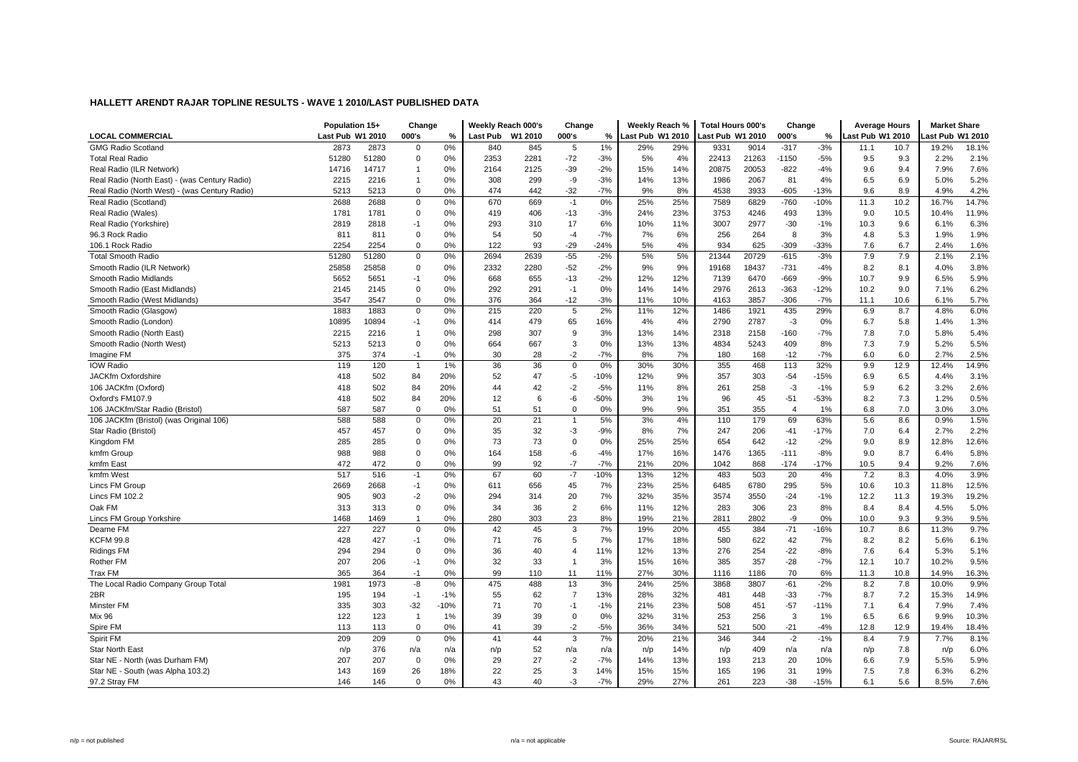|                                               | Population 15+   |       | Change         |        |                 | Weekly Reach 000's | Change         |        | Weekly Reach %          |     | <b>Total Hours 000's</b> |       | Change         |        | <b>Average Hours</b> |      | <b>Market Share</b> |       |
|-----------------------------------------------|------------------|-------|----------------|--------|-----------------|--------------------|----------------|--------|-------------------------|-----|--------------------------|-------|----------------|--------|----------------------|------|---------------------|-------|
| <b>LOCAL COMMERCIAL</b>                       | Last Pub W1 2010 |       | 000's          | $\%$   | <b>Last Pub</b> | W1 2010            | 000's          | %      | <b>Last Pub W1 2010</b> |     | Last Pub W1 2010         |       | 000's          | %      | Last Pub W1 2010     |      | ast Pub W1 2010     |       |
| <b>GMG Radio Scotland</b>                     | 2873             | 2873  | $\mathbf 0$    | 0%     | 840             | 845                | 5              | 1%     | 29%                     | 29% | 9331                     | 9014  | $-317$         | $-3%$  | 11.1                 | 10.7 | 19.2%               | 18.1% |
| <b>Total Real Radio</b>                       | 51280            | 51280 | $\mathbf 0$    | 0%     | 2353            | 2281               | $-72$          | $-3%$  | 5%                      | 4%  | 22413                    | 21263 | $-1150$        | $-5%$  | 9.5                  | 9.3  | 2.2%                | 2.1%  |
| Real Radio (ILR Network)                      | 14716            | 14717 | 1              | 0%     | 2164            | 2125               | $-39$          | $-2%$  | 15%                     | 14% | 20875                    | 20053 | $-822$         | $-4%$  | 9.6                  | 9.4  | 7.9%                | 7.6%  |
| Real Radio (North East) - (was Century Radio) | 2215             | 2216  | -1             | 0%     | 308             | 299                | $-9$           | $-3%$  | 14%                     | 13% | 1986                     | 2067  | 81             | 4%     | 6.5                  | 6.9  | 5.0%                | 5.2%  |
| Real Radio (North West) - (was Century Radio) | 5213             | 5213  | $\Omega$       | 0%     | 474             | 442                | $-32$          | $-7%$  | 9%                      | 8%  | 4538                     | 3933  | $-605$         | $-13%$ | 9.6                  | 8.9  | 4.9%                | 4.2%  |
| Real Radio (Scotland)                         | 2688             | 2688  | $\mathbf 0$    | 0%     | 670             | 669                | $-1$           | 0%     | 25%                     | 25% | 7589                     | 6829  | $-760$         | $-10%$ | 11.3                 | 10.2 | 16.7%               | 14.7% |
| Real Radio (Wales)                            | 1781             | 1781  | 0              | 0%     | 419             | 406                | $-13$          | $-3%$  | 24%                     | 23% | 3753                     | 4246  | 493            | 13%    | 9.0                  | 10.5 | 10.4%               | 11.9% |
| Real Radio (Yorkshire)                        | 2819             | 2818  | -1             | 0%     | 293             | 310                | 17             | 6%     | 10%                     | 11% | 3007                     | 2977  | $-30$          | $-1%$  | 10.3                 | 9.6  | 6.1%                | 6.3%  |
| 96.3 Rock Radio                               | 811              | 811   | 0              | 0%     | 54              | 50                 | $-4$           | $-7%$  | 7%                      | 6%  | 256                      | 264   | 8              | 3%     | 4.8                  | 5.3  | 1.9%                | 1.9%  |
| 106.1 Rock Radio                              | 2254             | 2254  | $\Omega$       | 0%     | 122             | 93                 | $-29$          | $-24%$ | 5%                      | 4%  | 934                      | 625   | $-309$         | $-33%$ | 7.6                  | 6.7  | 2.4%                | 1.6%  |
| <b>Total Smooth Radio</b>                     | 51280            | 51280 | $\mathsf 0$    | 0%     | 2694            | 2639               | $-55$          | $-2%$  | 5%                      | 5%  | 21344                    | 20729 | $-615$         | $-3%$  | 7.9                  | 7.9  | 2.1%                | 2.1%  |
| Smooth Radio (ILR Network)                    | 25858            | 25858 | $\mathbf 0$    | 0%     | 2332            | 2280               | $-52$          | $-2%$  | 9%                      | 9%  | 19168                    | 18437 | $-731$         | $-4%$  | 8.2                  | 8.1  | 4.0%                | 3.8%  |
| Smooth Radio Midlands                         | 5652             | 5651  | -1             | 0%     | 668             | 655                | $-13$          | $-2%$  | 12%                     | 12% | 7139                     | 6470  | $-669$         | $-9%$  | 10.7                 | 9.9  | 6.5%                | 5.9%  |
| Smooth Radio (East Midlands)                  | 2145             | 2145  | $\mathbf 0$    | 0%     | 292             | 291                | $-1$           | 0%     | 14%                     | 14% | 2976                     | 2613  | $-363$         | $-12%$ | 10.2                 | 9.0  | 7.1%                | 6.2%  |
| Smooth Radio (West Midlands)                  | 3547             | 3547  | 0              | 0%     | 376             | 364                | $-12$          | $-3%$  | 11%                     | 10% | 4163                     | 3857  | $-306$         | $-7%$  | 11.1                 | 10.6 | 6.1%                | 5.7%  |
| Smooth Radio (Glasgow)                        | 1883             | 1883  | $\mathbf 0$    | 0%     | 215             | 220                | 5              | 2%     | 11%                     | 12% | 1486                     | 1921  | 435            | 29%    | 6.9                  | 8.7  | 4.8%                | 6.0%  |
| Smooth Radio (London)                         | 10895            | 10894 | -1             | 0%     | 414             | 479                | 65             | 16%    | 4%                      | 4%  | 2790                     | 2787  | $-3$           | 0%     | 6.7                  | 5.8  | 1.4%                | 1.3%  |
| Smooth Radio (North East)                     | 2215             | 2216  | $\overline{1}$ | 0%     | 298             | 307                | 9              | 3%     | 13%                     | 14% | 2318                     | 2158  | $-160$         | $-7%$  | 7.8                  | 7.0  | 5.8%                | 5.4%  |
| Smooth Radio (North West)                     | 5213             | 5213  | $\mathbf 0$    | 0%     | 664             | 667                | 3              | 0%     | 13%                     | 13% | 4834                     | 5243  | 409            | 8%     | 7.3                  | 7.9  | 5.2%                | 5.5%  |
| Imagine FM                                    | 375              | 374   | $-1$           | 0%     | 30              | 28                 | $-2$           | $-7%$  | 8%                      | 7%  | 180                      | 168   | $-12$          | $-7%$  | 6.0                  | 6.0  | 2.7%                | 2.5%  |
| <b>IOW Radio</b>                              | 119              | 120   | $\overline{1}$ | 1%     | 36              | 36                 | $\mathbf 0$    | 0%     | 30%                     | 30% | 355                      | 468   | 113            | 32%    | 9.9                  | 12.9 | 12.4%               | 14.9% |
| JACKfm Oxfordshire                            | 418              | 502   | 84             | 20%    | 52              | 47                 | $-5$           | $-10%$ | 12%                     | 9%  | 357                      | 303   | $-54$          | $-15%$ | 6.9                  | 6.5  | 4.4%                | 3.1%  |
| 106 JACKfm (Oxford)                           | 418              | 502   | 84             | 20%    | 44              | 42                 | $-2$           | $-5%$  | 11%                     | 8%  | 261                      | 258   | $-3$           | $-1%$  | 5.9                  | 6.2  | 3.2%                | 2.6%  |
| Oxford's FM107.9                              | 418              | 502   | 84             | 20%    | 12              | 6                  | -6             | $-50%$ | 3%                      | 1%  | 96                       | 45    | $-51$          | $-53%$ | 8.2                  | 7.3  | 1.2%                | 0.5%  |
| 106 JACKfm/Star Radio (Bristol)               | 587              | 587   | $\mathbf 0$    | 0%     | 51              | 51                 | 0              | 0%     | 9%                      | 9%  | 351                      | 355   | $\overline{4}$ | 1%     | 6.8                  | 7.0  | 3.0%                | 3.0%  |
| 106 JACKfm (Bristol) (was Original 106)       | 588              | 588   | $\mathbf 0$    | 0%     | 20              | 21                 | $\mathbf{1}$   | 5%     | 3%                      | 4%  | 110                      | 179   | 69             | 63%    | 5.6                  | 8.6  | 0.9%                | 1.5%  |
| Star Radio (Bristol)                          | 457              | 457   | 0              | 0%     | 35              | 32                 | $-3$           | $-9%$  | 8%                      | 7%  | 247                      | 206   | $-41$          | $-17%$ | 7.0                  | 6.4  | 2.7%                | 2.2%  |
| Kingdom FM                                    | 285              | 285   | $\Omega$       | 0%     | 73              | 73                 | $\mathbf 0$    | 0%     | 25%                     | 25% | 654                      | 642   | $-12$          | $-2%$  | 9.0                  | 8.9  | 12.8%               | 12.6% |
| kmfm Group                                    | 988              | 988   | 0              | 0%     | 164             | 158                | -6             | $-4%$  | 17%                     | 16% | 1476                     | 1365  | $-111$         | $-8%$  | 9.0                  | 8.7  | 6.4%                | 5.8%  |
| kmfm East                                     | 472              | 472   | 0              | 0%     | 99              | 92                 | $-7$           | $-7%$  | 21%                     | 20% | 1042                     | 868   | $-174$         | $-17%$ | 10.5                 | 9.4  | 9.2%                | 7.6%  |
| kmfm West                                     | 517              | 516   | $-1$           | 0%     | 67              | 60                 | $-7$           | $-10%$ | 13%                     | 12% | 483                      | 503   | 20             | 4%     | 7.2                  | 8.3  | 4.0%                | 3.9%  |
| Lincs FM Group                                | 2669             | 2668  | $-1$           | 0%     | 611             | 656                | 45             | 7%     | 23%                     | 25% | 6485                     | 6780  | 295            | 5%     | 10.6                 | 10.3 | 11.8%               | 12.5% |
| <b>Lincs FM 102.2</b>                         | 905              | 903   | $-2$           | 0%     | 294             | 314                | 20             | 7%     | 32%                     | 35% | 3574                     | 3550  | $-24$          | $-1%$  | 12.2                 | 11.3 | 19.3%               | 19.2% |
| Oak FM                                        | 313              | 313   | $\mathbf 0$    | 0%     | 34              | 36                 | $\overline{2}$ | 6%     | 11%                     | 12% | 283                      | 306   | 23             | 8%     | 8.4                  | 8.4  | 4.5%                | 5.0%  |
| Lincs FM Group Yorkshire                      | 1468             | 1469  |                | 0%     | 280             | 303                | 23             | 8%     | 19%                     | 21% | 2811                     | 2802  | -9             | 0%     | 10.0                 | 9.3  | 9.3%                | 9.5%  |
| Dearne FM                                     | 227              | 227   | $\mathbf 0$    | 0%     | 42              | 45                 | 3              | 7%     | 19%                     | 20% | 455                      | 384   | $-71$          | $-16%$ | 10.7                 | 8.6  | 11.3%               | 9.7%  |
| <b>KCFM 99.8</b>                              | 428              | 427   | -1             | 0%     | 71              | 76                 | 5              | 7%     | 17%                     | 18% | 580                      | 622   | 42             | 7%     | 8.2                  | 8.2  | 5.6%                | 6.1%  |
| Ridings FM                                    | 294              | 294   | $\mathbf 0$    | 0%     | 36              | 40                 | $\overline{4}$ | 11%    | 12%                     | 13% | 276                      | 254   | $-22$          | $-8%$  | 7.6                  | 6.4  | 5.3%                | 5.1%  |
| <b>Rother FM</b>                              | 207              | 206   | $-1$           | 0%     | 32              | 33                 | $\mathbf{1}$   | 3%     | 15%                     | 16% | 385                      | 357   | $-28$          | $-7%$  | 12.1                 | 10.7 | 10.2%               | 9.5%  |
| Trax FM                                       | 365              | 364   | $-1$           | 0%     | 99              | 110                | 11             | 11%    | 27%                     | 30% | 1116                     | 1186  | 70             | 6%     | 11.3                 | 10.8 | 14.9%               | 16.3% |
| The Local Radio Company Group Total           | 1981             | 1973  | -8             | 0%     | 475             | 488                | 13             | 3%     | 24%                     | 25% | 3868                     | 3807  | $-61$          | $-2%$  | 8.2                  | 7.8  | 10.0%               | 9.9%  |
| 2BR                                           | 195              | 194   | $-1$           | $-1%$  | 55              | 62                 | $\overline{7}$ | 13%    | 28%                     | 32% | 481                      | 448   | $-33$          | $-7%$  | 8.7                  | 7.2  | 15.3%               | 14.9% |
| Minster FM                                    | 335              | 303   | $-32$          | $-10%$ | 71              | 70                 | $-1$           | $-1%$  | 21%                     | 23% | 508                      | 451   | $-57$          | $-11%$ | 7.1                  | 6.4  | 7.9%                | 7.4%  |
| Mix 96                                        | 122              | 123   | $\overline{1}$ | 1%     | 39              | 39                 | $\mathbf 0$    | 0%     | 32%                     | 31% | 253                      | 256   | 3              | 1%     | 6.5                  | 6.6  | 9.9%                | 10.3% |
| Spire FM                                      | 113              | 113   | $\mathbf 0$    | 0%     | 41              | 39                 | $-2$           | $-5%$  | 36%                     | 34% | 521                      | 500   | $-21$          | $-4%$  | 12.8                 | 12.9 | 19.4%               | 18.4% |
| Spirit FM                                     | 209              | 209   | $\mathbf 0$    | 0%     | 41              | 44                 | 3              | 7%     | 20%                     | 21% | 346                      | 344   | $-2$           | $-1%$  | 8.4                  | 7.9  | 7.7%                | 8.1%  |
| <b>Star North East</b>                        | n/p              | 376   | n/a            | n/a    | n/p             | 52                 | n/a            | n/a    | n/p                     | 14% | n/p                      | 409   | n/a            | n/a    | n/p                  | 7.8  | n/p                 | 6.0%  |
| Star NE - North (was Durham FM)               | 207              | 207   | $\mathbf 0$    | 0%     | 29              | 27                 | $-2$           | $-7%$  | 14%                     | 13% | 193                      | 213   | 20             | 10%    | 6.6                  | 7.9  | 5.5%                | 5.9%  |
| Star NE - South (was Alpha 103.2)             | 143              | 169   | 26             | 18%    | 22              | 25                 | 3              | 14%    | 15%                     | 15% | 165                      | 196   | 31             | 19%    | 7.5                  | 7.8  | 6.3%                | 6.2%  |
| 97.2 Stray FM                                 | 146              | 146   | $\mathbf 0$    | 0%     | 43              | 40                 | $-3$           | $-7%$  | 29%                     | 27% | 261                      | 223   | $-38$          | $-15%$ | 6.1                  | 5.6  | 8.5%                | 7.6%  |
|                                               |                  |       |                |        |                 |                    |                |        |                         |     |                          |       |                |        |                      |      |                     |       |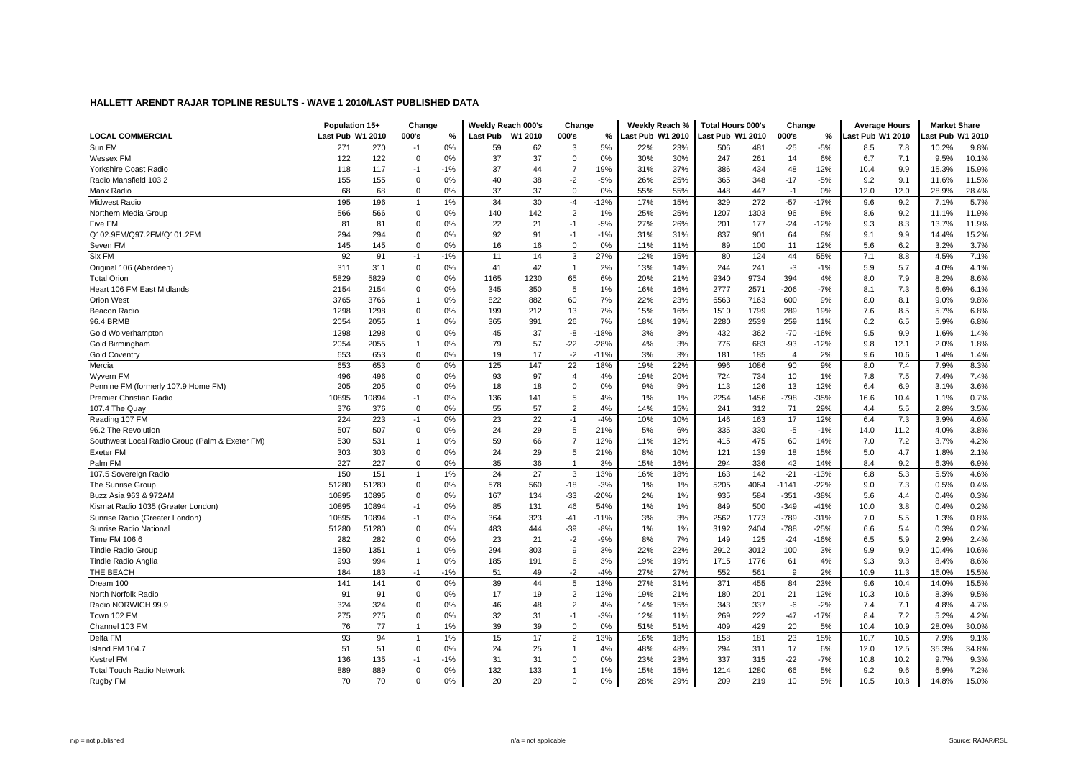| <b>LOCAL COMMERCIAL</b><br>Last Pub W1 2010<br>Last Pub W1 2010<br>000's<br>Last Pub W1 2010<br>Last Pub W1 2010<br>000's<br>Last Pub W1 2010<br>ast Pub W1 2010<br>000's<br>$\%$<br>%<br>%<br>Sun FM<br>0%<br>5%<br>$-5%$<br>271<br>270<br>59<br>62<br>22%<br>23%<br>506<br>481<br>$-25$<br>8.5<br>7.8<br>10.2%<br>9.8%<br>3<br>$-1$<br>122<br>122<br>0%<br>37<br>0%<br>30%<br>30%<br>6%<br>7.1<br>10.1%<br>Wessex FM<br>0<br>37<br>0<br>247<br>261<br>14<br>6.7<br>9.5%<br>118<br>37%<br>434<br>9.9<br>15.9%<br>Yorkshire Coast Radio<br>117<br>$-1$<br>$-1%$<br>37<br>44<br>$\overline{7}$<br>19%<br>31%<br>386<br>48<br>12%<br>10.4<br>15.3%<br>155<br>$-5%$<br>26%<br>25%<br>365<br>348<br>$-17$<br>$-5%$<br>9.2<br>9.1<br>11.5%<br>Radio Mansfield 103.2<br>155<br>$\mathbf 0$<br>0%<br>40<br>38<br>$-2$<br>11.6%<br>Manx Radio<br>68<br>68<br>0<br>0%<br>37<br>37<br>$\mathbf 0$<br>0%<br>55%<br>55%<br>448<br>447<br>$-1$<br>0%<br>12.0<br>12.0<br>28.9%<br>28.4%<br>329<br>272<br>5.7%<br>195<br>196<br>1%<br>34<br>30<br>$-12%$<br>15%<br>$-57$<br>9.6<br>9.2<br>Midwest Radio<br>$-4$<br>17%<br>$-17%$<br>7.1%<br>-1<br>566<br>566<br>$\mathbf 0$<br>0%<br>2<br>1%<br>25%<br>25%<br>1207<br>1303<br>96<br>8%<br>8.6<br>11.9%<br>Northern Media Group<br>140<br>142<br>9.2<br>11.1%<br>0%<br>21<br>$-5%$<br>27%<br>26%<br>$-24$<br>$-12%$<br>9.3<br>13.7%<br>11.9%<br>Five FM<br>81<br>81<br>$\Omega$<br>22<br>$-1$<br>201<br>177<br>8.3<br>15.2%<br>Q102.9FM/Q97.2FM/Q101.2FM<br>294<br>294<br>$\mathbf 0$<br>0%<br>92<br>91<br>$-1$<br>$-1%$<br>31%<br>31%<br>837<br>901<br>64<br>8%<br>9.1<br>9.9<br>14.4%<br>3.7%<br>145<br>145<br>0<br>0%<br>16<br>$\mathbf 0$<br>0%<br>11%<br>11%<br>89<br>100<br>11<br>12%<br>5.6<br>6.2<br>3.2%<br>Seven FM<br>16<br>92<br>27%<br>55%<br>7.1<br>8.8<br>7.1%<br>Six FM<br>91<br>$-1%$<br>11<br>14<br>3<br>12%<br>15%<br>80<br>124<br>44<br>4.5%<br>-1<br>311<br>311<br>0%<br>42<br>2%<br>13%<br>14%<br>244<br>241<br>$-3$<br>5.9<br>5.7<br>4.0%<br>4.1%<br>Original 106 (Aberdeen)<br>$\Omega$<br>41<br>$\overline{1}$<br>$-1%$<br>5829<br>9340<br>9734<br>8.0<br>7.9<br>8.6%<br><b>Total Orion</b><br>5829<br>$\Omega$<br>0%<br>1165<br>1230<br>65<br>6%<br>20%<br>21%<br>394<br>4%<br>8.2%<br>8.1<br>6.1%<br>Heart 106 FM East Midlands<br>2154<br>2154<br>0<br>0%<br>345<br>350<br>5<br>1%<br>16%<br>16%<br>2777<br>2571<br>$-206$<br>$-7%$<br>7.3<br>6.6%<br>3766<br>0%<br>822<br>882<br>60<br>7%<br>22%<br>23%<br>6563<br>7163<br>600<br>9%<br>8.0<br>8.1<br>9.0%<br>9.8%<br><b>Orion West</b><br>3765<br>6.8%<br>Beacon Radio<br>1298<br>1298<br>$\mathbf 0$<br>0%<br>199<br>212<br>13<br>7%<br>15%<br>16%<br>1510<br>1799<br>289<br>19%<br>7.6<br>8.5<br>5.7%<br>96.4 BRMB<br>2539<br>6.8%<br>2054<br>2055<br>0%<br>365<br>391<br>26<br>7%<br>18%<br>19%<br>2280<br>259<br>11%<br>6.2<br>6.5<br>5.9%<br>1<br>9.5<br>1.4%<br>1298<br>1298<br>0%<br>37<br>-8<br>$-18%$<br>3%<br>3%<br>432<br>362<br>$-70$<br>9.9<br>Gold Wolverhampton<br>$\mathbf 0$<br>45<br>$-16%$<br>1.6%<br>$-22$<br>$-28%$<br>3%<br>9.8<br>12.1<br>1.8%<br>Gold Birmingham<br>2055<br>$\mathbf{1}$<br>0%<br>79<br>57<br>4%<br>776<br>683<br>-93<br>$-12%$<br>2.0%<br>2054<br>0%<br>19<br>17<br>$-2$<br>3%<br>3%<br>181<br>185<br>2%<br>9.6<br>10.6<br>1.4%<br><b>Gold Coventry</b><br>653<br>653<br>$\mathbf 0$<br>$-11%$<br>$\overline{4}$<br>1.4%<br>8.3%<br>Mercia<br>653<br>653<br>$\mathbf 0$<br>0%<br>125<br>147<br>22<br>18%<br>19%<br>22%<br>996<br>1086<br>90<br>9%<br>8.0<br>7.4<br>7.9% |
|--------------------------------------------------------------------------------------------------------------------------------------------------------------------------------------------------------------------------------------------------------------------------------------------------------------------------------------------------------------------------------------------------------------------------------------------------------------------------------------------------------------------------------------------------------------------------------------------------------------------------------------------------------------------------------------------------------------------------------------------------------------------------------------------------------------------------------------------------------------------------------------------------------------------------------------------------------------------------------------------------------------------------------------------------------------------------------------------------------------------------------------------------------------------------------------------------------------------------------------------------------------------------------------------------------------------------------------------------------------------------------------------------------------------------------------------------------------------------------------------------------------------------------------------------------------------------------------------------------------------------------------------------------------------------------------------------------------------------------------------------------------------------------------------------------------------------------------------------------------------------------------------------------------------------------------------------------------------------------------------------------------------------------------------------------------------------------------------------------------------------------------------------------------------------------------------------------------------------------------------------------------------------------------------------------------------------------------------------------------------------------------------------------------------------------------------------------------------------------------------------------------------------------------------------------------------------------------------------------------------------------------------------------------------------------------------------------------------------------------------------------------------------------------------------------------------------------------------------------------------------------------------------------------------------------------------------------------------------------------------------------------------------------------------------------------------------------------------------------------------------------------------------------------------------------------------------------------------------------------------------------------------------------------------------------------------------------------------------------------------------------------------------------------------------------------------------------------------------------------------------------------------------------|
|                                                                                                                                                                                                                                                                                                                                                                                                                                                                                                                                                                                                                                                                                                                                                                                                                                                                                                                                                                                                                                                                                                                                                                                                                                                                                                                                                                                                                                                                                                                                                                                                                                                                                                                                                                                                                                                                                                                                                                                                                                                                                                                                                                                                                                                                                                                                                                                                                                                                                                                                                                                                                                                                                                                                                                                                                                                                                                                                                                                                                                                                                                                                                                                                                                                                                                                                                                                                                                                                                                                                |
|                                                                                                                                                                                                                                                                                                                                                                                                                                                                                                                                                                                                                                                                                                                                                                                                                                                                                                                                                                                                                                                                                                                                                                                                                                                                                                                                                                                                                                                                                                                                                                                                                                                                                                                                                                                                                                                                                                                                                                                                                                                                                                                                                                                                                                                                                                                                                                                                                                                                                                                                                                                                                                                                                                                                                                                                                                                                                                                                                                                                                                                                                                                                                                                                                                                                                                                                                                                                                                                                                                                                |
|                                                                                                                                                                                                                                                                                                                                                                                                                                                                                                                                                                                                                                                                                                                                                                                                                                                                                                                                                                                                                                                                                                                                                                                                                                                                                                                                                                                                                                                                                                                                                                                                                                                                                                                                                                                                                                                                                                                                                                                                                                                                                                                                                                                                                                                                                                                                                                                                                                                                                                                                                                                                                                                                                                                                                                                                                                                                                                                                                                                                                                                                                                                                                                                                                                                                                                                                                                                                                                                                                                                                |
|                                                                                                                                                                                                                                                                                                                                                                                                                                                                                                                                                                                                                                                                                                                                                                                                                                                                                                                                                                                                                                                                                                                                                                                                                                                                                                                                                                                                                                                                                                                                                                                                                                                                                                                                                                                                                                                                                                                                                                                                                                                                                                                                                                                                                                                                                                                                                                                                                                                                                                                                                                                                                                                                                                                                                                                                                                                                                                                                                                                                                                                                                                                                                                                                                                                                                                                                                                                                                                                                                                                                |
|                                                                                                                                                                                                                                                                                                                                                                                                                                                                                                                                                                                                                                                                                                                                                                                                                                                                                                                                                                                                                                                                                                                                                                                                                                                                                                                                                                                                                                                                                                                                                                                                                                                                                                                                                                                                                                                                                                                                                                                                                                                                                                                                                                                                                                                                                                                                                                                                                                                                                                                                                                                                                                                                                                                                                                                                                                                                                                                                                                                                                                                                                                                                                                                                                                                                                                                                                                                                                                                                                                                                |
|                                                                                                                                                                                                                                                                                                                                                                                                                                                                                                                                                                                                                                                                                                                                                                                                                                                                                                                                                                                                                                                                                                                                                                                                                                                                                                                                                                                                                                                                                                                                                                                                                                                                                                                                                                                                                                                                                                                                                                                                                                                                                                                                                                                                                                                                                                                                                                                                                                                                                                                                                                                                                                                                                                                                                                                                                                                                                                                                                                                                                                                                                                                                                                                                                                                                                                                                                                                                                                                                                                                                |
|                                                                                                                                                                                                                                                                                                                                                                                                                                                                                                                                                                                                                                                                                                                                                                                                                                                                                                                                                                                                                                                                                                                                                                                                                                                                                                                                                                                                                                                                                                                                                                                                                                                                                                                                                                                                                                                                                                                                                                                                                                                                                                                                                                                                                                                                                                                                                                                                                                                                                                                                                                                                                                                                                                                                                                                                                                                                                                                                                                                                                                                                                                                                                                                                                                                                                                                                                                                                                                                                                                                                |
|                                                                                                                                                                                                                                                                                                                                                                                                                                                                                                                                                                                                                                                                                                                                                                                                                                                                                                                                                                                                                                                                                                                                                                                                                                                                                                                                                                                                                                                                                                                                                                                                                                                                                                                                                                                                                                                                                                                                                                                                                                                                                                                                                                                                                                                                                                                                                                                                                                                                                                                                                                                                                                                                                                                                                                                                                                                                                                                                                                                                                                                                                                                                                                                                                                                                                                                                                                                                                                                                                                                                |
|                                                                                                                                                                                                                                                                                                                                                                                                                                                                                                                                                                                                                                                                                                                                                                                                                                                                                                                                                                                                                                                                                                                                                                                                                                                                                                                                                                                                                                                                                                                                                                                                                                                                                                                                                                                                                                                                                                                                                                                                                                                                                                                                                                                                                                                                                                                                                                                                                                                                                                                                                                                                                                                                                                                                                                                                                                                                                                                                                                                                                                                                                                                                                                                                                                                                                                                                                                                                                                                                                                                                |
|                                                                                                                                                                                                                                                                                                                                                                                                                                                                                                                                                                                                                                                                                                                                                                                                                                                                                                                                                                                                                                                                                                                                                                                                                                                                                                                                                                                                                                                                                                                                                                                                                                                                                                                                                                                                                                                                                                                                                                                                                                                                                                                                                                                                                                                                                                                                                                                                                                                                                                                                                                                                                                                                                                                                                                                                                                                                                                                                                                                                                                                                                                                                                                                                                                                                                                                                                                                                                                                                                                                                |
|                                                                                                                                                                                                                                                                                                                                                                                                                                                                                                                                                                                                                                                                                                                                                                                                                                                                                                                                                                                                                                                                                                                                                                                                                                                                                                                                                                                                                                                                                                                                                                                                                                                                                                                                                                                                                                                                                                                                                                                                                                                                                                                                                                                                                                                                                                                                                                                                                                                                                                                                                                                                                                                                                                                                                                                                                                                                                                                                                                                                                                                                                                                                                                                                                                                                                                                                                                                                                                                                                                                                |
|                                                                                                                                                                                                                                                                                                                                                                                                                                                                                                                                                                                                                                                                                                                                                                                                                                                                                                                                                                                                                                                                                                                                                                                                                                                                                                                                                                                                                                                                                                                                                                                                                                                                                                                                                                                                                                                                                                                                                                                                                                                                                                                                                                                                                                                                                                                                                                                                                                                                                                                                                                                                                                                                                                                                                                                                                                                                                                                                                                                                                                                                                                                                                                                                                                                                                                                                                                                                                                                                                                                                |
|                                                                                                                                                                                                                                                                                                                                                                                                                                                                                                                                                                                                                                                                                                                                                                                                                                                                                                                                                                                                                                                                                                                                                                                                                                                                                                                                                                                                                                                                                                                                                                                                                                                                                                                                                                                                                                                                                                                                                                                                                                                                                                                                                                                                                                                                                                                                                                                                                                                                                                                                                                                                                                                                                                                                                                                                                                                                                                                                                                                                                                                                                                                                                                                                                                                                                                                                                                                                                                                                                                                                |
|                                                                                                                                                                                                                                                                                                                                                                                                                                                                                                                                                                                                                                                                                                                                                                                                                                                                                                                                                                                                                                                                                                                                                                                                                                                                                                                                                                                                                                                                                                                                                                                                                                                                                                                                                                                                                                                                                                                                                                                                                                                                                                                                                                                                                                                                                                                                                                                                                                                                                                                                                                                                                                                                                                                                                                                                                                                                                                                                                                                                                                                                                                                                                                                                                                                                                                                                                                                                                                                                                                                                |
|                                                                                                                                                                                                                                                                                                                                                                                                                                                                                                                                                                                                                                                                                                                                                                                                                                                                                                                                                                                                                                                                                                                                                                                                                                                                                                                                                                                                                                                                                                                                                                                                                                                                                                                                                                                                                                                                                                                                                                                                                                                                                                                                                                                                                                                                                                                                                                                                                                                                                                                                                                                                                                                                                                                                                                                                                                                                                                                                                                                                                                                                                                                                                                                                                                                                                                                                                                                                                                                                                                                                |
|                                                                                                                                                                                                                                                                                                                                                                                                                                                                                                                                                                                                                                                                                                                                                                                                                                                                                                                                                                                                                                                                                                                                                                                                                                                                                                                                                                                                                                                                                                                                                                                                                                                                                                                                                                                                                                                                                                                                                                                                                                                                                                                                                                                                                                                                                                                                                                                                                                                                                                                                                                                                                                                                                                                                                                                                                                                                                                                                                                                                                                                                                                                                                                                                                                                                                                                                                                                                                                                                                                                                |
|                                                                                                                                                                                                                                                                                                                                                                                                                                                                                                                                                                                                                                                                                                                                                                                                                                                                                                                                                                                                                                                                                                                                                                                                                                                                                                                                                                                                                                                                                                                                                                                                                                                                                                                                                                                                                                                                                                                                                                                                                                                                                                                                                                                                                                                                                                                                                                                                                                                                                                                                                                                                                                                                                                                                                                                                                                                                                                                                                                                                                                                                                                                                                                                                                                                                                                                                                                                                                                                                                                                                |
|                                                                                                                                                                                                                                                                                                                                                                                                                                                                                                                                                                                                                                                                                                                                                                                                                                                                                                                                                                                                                                                                                                                                                                                                                                                                                                                                                                                                                                                                                                                                                                                                                                                                                                                                                                                                                                                                                                                                                                                                                                                                                                                                                                                                                                                                                                                                                                                                                                                                                                                                                                                                                                                                                                                                                                                                                                                                                                                                                                                                                                                                                                                                                                                                                                                                                                                                                                                                                                                                                                                                |
|                                                                                                                                                                                                                                                                                                                                                                                                                                                                                                                                                                                                                                                                                                                                                                                                                                                                                                                                                                                                                                                                                                                                                                                                                                                                                                                                                                                                                                                                                                                                                                                                                                                                                                                                                                                                                                                                                                                                                                                                                                                                                                                                                                                                                                                                                                                                                                                                                                                                                                                                                                                                                                                                                                                                                                                                                                                                                                                                                                                                                                                                                                                                                                                                                                                                                                                                                                                                                                                                                                                                |
|                                                                                                                                                                                                                                                                                                                                                                                                                                                                                                                                                                                                                                                                                                                                                                                                                                                                                                                                                                                                                                                                                                                                                                                                                                                                                                                                                                                                                                                                                                                                                                                                                                                                                                                                                                                                                                                                                                                                                                                                                                                                                                                                                                                                                                                                                                                                                                                                                                                                                                                                                                                                                                                                                                                                                                                                                                                                                                                                                                                                                                                                                                                                                                                                                                                                                                                                                                                                                                                                                                                                |
|                                                                                                                                                                                                                                                                                                                                                                                                                                                                                                                                                                                                                                                                                                                                                                                                                                                                                                                                                                                                                                                                                                                                                                                                                                                                                                                                                                                                                                                                                                                                                                                                                                                                                                                                                                                                                                                                                                                                                                                                                                                                                                                                                                                                                                                                                                                                                                                                                                                                                                                                                                                                                                                                                                                                                                                                                                                                                                                                                                                                                                                                                                                                                                                                                                                                                                                                                                                                                                                                                                                                |
|                                                                                                                                                                                                                                                                                                                                                                                                                                                                                                                                                                                                                                                                                                                                                                                                                                                                                                                                                                                                                                                                                                                                                                                                                                                                                                                                                                                                                                                                                                                                                                                                                                                                                                                                                                                                                                                                                                                                                                                                                                                                                                                                                                                                                                                                                                                                                                                                                                                                                                                                                                                                                                                                                                                                                                                                                                                                                                                                                                                                                                                                                                                                                                                                                                                                                                                                                                                                                                                                                                                                |
| 496<br>734<br>496<br>$\Omega$<br>0%<br>93<br>97<br>4%<br>20%<br>724<br>10<br>1%<br>7.8<br>7.5<br>7.4%<br>Wyvern FM<br>$\overline{4}$<br>19%<br>7.4%                                                                                                                                                                                                                                                                                                                                                                                                                                                                                                                                                                                                                                                                                                                                                                                                                                                                                                                                                                                                                                                                                                                                                                                                                                                                                                                                                                                                                                                                                                                                                                                                                                                                                                                                                                                                                                                                                                                                                                                                                                                                                                                                                                                                                                                                                                                                                                                                                                                                                                                                                                                                                                                                                                                                                                                                                                                                                                                                                                                                                                                                                                                                                                                                                                                                                                                                                                            |
| 3.6%<br>Pennine FM (formerly 107.9 Home FM)<br>205<br>205<br>0%<br>0%<br>9%<br>9%<br>113<br>126<br>13<br>12%<br>6.4<br>6.9<br>0<br>18<br>18<br>0<br>3.1%                                                                                                                                                                                                                                                                                                                                                                                                                                                                                                                                                                                                                                                                                                                                                                                                                                                                                                                                                                                                                                                                                                                                                                                                                                                                                                                                                                                                                                                                                                                                                                                                                                                                                                                                                                                                                                                                                                                                                                                                                                                                                                                                                                                                                                                                                                                                                                                                                                                                                                                                                                                                                                                                                                                                                                                                                                                                                                                                                                                                                                                                                                                                                                                                                                                                                                                                                                       |
| Premier Christian Radio<br>5<br>1%<br>2254<br>1456<br>$-798$<br>$-35%$<br>10.4<br>0.7%<br>10895<br>10894<br>-1<br>0%<br>136<br>141<br>4%<br>1%<br>16.6<br>1.1%                                                                                                                                                                                                                                                                                                                                                                                                                                                                                                                                                                                                                                                                                                                                                                                                                                                                                                                                                                                                                                                                                                                                                                                                                                                                                                                                                                                                                                                                                                                                                                                                                                                                                                                                                                                                                                                                                                                                                                                                                                                                                                                                                                                                                                                                                                                                                                                                                                                                                                                                                                                                                                                                                                                                                                                                                                                                                                                                                                                                                                                                                                                                                                                                                                                                                                                                                                 |
| 3.5%<br>376<br>0%<br>55<br>57<br>2<br>15%<br>312<br>71<br>29%<br>5.5<br>2.8%<br>107.4 The Quay<br>376<br>$\mathbf 0$<br>4%<br>14%<br>241<br>4.4                                                                                                                                                                                                                                                                                                                                                                                                                                                                                                                                                                                                                                                                                                                                                                                                                                                                                                                                                                                                                                                                                                                                                                                                                                                                                                                                                                                                                                                                                                                                                                                                                                                                                                                                                                                                                                                                                                                                                                                                                                                                                                                                                                                                                                                                                                                                                                                                                                                                                                                                                                                                                                                                                                                                                                                                                                                                                                                                                                                                                                                                                                                                                                                                                                                                                                                                                                                |
| 224<br>223<br>4.6%<br>Reading 107 FM<br>0%<br>23<br>22<br>$-1$<br>$-4%$<br>10%<br>10%<br>146<br>163<br>17<br>12%<br>6.4<br>7.3<br>3.9%<br>$-1$                                                                                                                                                                                                                                                                                                                                                                                                                                                                                                                                                                                                                                                                                                                                                                                                                                                                                                                                                                                                                                                                                                                                                                                                                                                                                                                                                                                                                                                                                                                                                                                                                                                                                                                                                                                                                                                                                                                                                                                                                                                                                                                                                                                                                                                                                                                                                                                                                                                                                                                                                                                                                                                                                                                                                                                                                                                                                                                                                                                                                                                                                                                                                                                                                                                                                                                                                                                 |
| 507<br>507<br>$\mathbf 0$<br>29<br>5<br>21%<br>5%<br>6%<br>335<br>330<br>$-5$<br>11.2<br>4.0%<br>3.8%<br>96.2 The Revolution<br>0%<br>24<br>$-1%$<br>14.0                                                                                                                                                                                                                                                                                                                                                                                                                                                                                                                                                                                                                                                                                                                                                                                                                                                                                                                                                                                                                                                                                                                                                                                                                                                                                                                                                                                                                                                                                                                                                                                                                                                                                                                                                                                                                                                                                                                                                                                                                                                                                                                                                                                                                                                                                                                                                                                                                                                                                                                                                                                                                                                                                                                                                                                                                                                                                                                                                                                                                                                                                                                                                                                                                                                                                                                                                                      |
| $\overline{7}$<br>475<br>7.2<br>4.2%<br>Southwest Local Radio Group (Palm & Exeter FM)<br>530<br>531<br>59<br>66<br>12%<br>12%<br>415<br>60<br>7.0<br>3.7%<br>0%<br>11%<br>14%<br>1                                                                                                                                                                                                                                                                                                                                                                                                                                                                                                                                                                                                                                                                                                                                                                                                                                                                                                                                                                                                                                                                                                                                                                                                                                                                                                                                                                                                                                                                                                                                                                                                                                                                                                                                                                                                                                                                                                                                                                                                                                                                                                                                                                                                                                                                                                                                                                                                                                                                                                                                                                                                                                                                                                                                                                                                                                                                                                                                                                                                                                                                                                                                                                                                                                                                                                                                            |
| <b>Exeter FM</b><br>303<br>303<br>$\Omega$<br>0%<br>29<br>5<br>21%<br>8%<br>10%<br>121<br>139<br>18<br>15%<br>5.0<br>4.7<br>1.8%<br>2.1%<br>24                                                                                                                                                                                                                                                                                                                                                                                                                                                                                                                                                                                                                                                                                                                                                                                                                                                                                                                                                                                                                                                                                                                                                                                                                                                                                                                                                                                                                                                                                                                                                                                                                                                                                                                                                                                                                                                                                                                                                                                                                                                                                                                                                                                                                                                                                                                                                                                                                                                                                                                                                                                                                                                                                                                                                                                                                                                                                                                                                                                                                                                                                                                                                                                                                                                                                                                                                                                 |
| Palm FM<br>227<br>227<br>0%<br>35<br>3%<br>16%<br>336<br>42<br>14%<br>9.2<br>6.9%<br>$\mathbf 0$<br>36<br>15%<br>294<br>8.4<br>6.3%<br>$\mathbf{1}$                                                                                                                                                                                                                                                                                                                                                                                                                                                                                                                                                                                                                                                                                                                                                                                                                                                                                                                                                                                                                                                                                                                                                                                                                                                                                                                                                                                                                                                                                                                                                                                                                                                                                                                                                                                                                                                                                                                                                                                                                                                                                                                                                                                                                                                                                                                                                                                                                                                                                                                                                                                                                                                                                                                                                                                                                                                                                                                                                                                                                                                                                                                                                                                                                                                                                                                                                                            |
| 1%<br>24<br>13%<br>$-21$<br>4.6%<br>107.5 Sovereign Radio<br>150<br>151<br>27<br>3<br>16%<br>18%<br>163<br>142<br>$-13%$<br>6.8<br>5.3<br>5.5%<br>$\overline{1}$                                                                                                                                                                                                                                                                                                                                                                                                                                                                                                                                                                                                                                                                                                                                                                                                                                                                                                                                                                                                                                                                                                                                                                                                                                                                                                                                                                                                                                                                                                                                                                                                                                                                                                                                                                                                                                                                                                                                                                                                                                                                                                                                                                                                                                                                                                                                                                                                                                                                                                                                                                                                                                                                                                                                                                                                                                                                                                                                                                                                                                                                                                                                                                                                                                                                                                                                                               |
| 0.4%<br>51280<br>51280<br>578<br>560<br>$-18$<br>$-3%$<br>5205<br>4064<br>$-22%$<br>9.0<br>7.3<br>0.5%<br>The Sunrise Group<br>$\mathbf 0$<br>0%<br>1%<br>$1\%$<br>$-1141$                                                                                                                                                                                                                                                                                                                                                                                                                                                                                                                                                                                                                                                                                                                                                                                                                                                                                                                                                                                                                                                                                                                                                                                                                                                                                                                                                                                                                                                                                                                                                                                                                                                                                                                                                                                                                                                                                                                                                                                                                                                                                                                                                                                                                                                                                                                                                                                                                                                                                                                                                                                                                                                                                                                                                                                                                                                                                                                                                                                                                                                                                                                                                                                                                                                                                                                                                     |
| 0.3%<br>10895<br>$\Omega$<br>0%<br>167<br>$-33$<br>$-20%$<br>2%<br>1%<br>935<br>584<br>$-38%$<br>5.6<br>4.4<br>Buzz Asia 963 & 972AM<br>10895<br>134<br>$-351$<br>0.4%                                                                                                                                                                                                                                                                                                                                                                                                                                                                                                                                                                                                                                                                                                                                                                                                                                                                                                                                                                                                                                                                                                                                                                                                                                                                                                                                                                                                                                                                                                                                                                                                                                                                                                                                                                                                                                                                                                                                                                                                                                                                                                                                                                                                                                                                                                                                                                                                                                                                                                                                                                                                                                                                                                                                                                                                                                                                                                                                                                                                                                                                                                                                                                                                                                                                                                                                                         |
| 46<br>849<br>500<br>$-349$<br>0.2%<br>Kismat Radio 1035 (Greater London)<br>10895<br>10894<br>0%<br>85<br>131<br>54%<br>1%<br>1%<br>$-41%$<br>10.0<br>3.8<br>0.4%<br>$-1$                                                                                                                                                                                                                                                                                                                                                                                                                                                                                                                                                                                                                                                                                                                                                                                                                                                                                                                                                                                                                                                                                                                                                                                                                                                                                                                                                                                                                                                                                                                                                                                                                                                                                                                                                                                                                                                                                                                                                                                                                                                                                                                                                                                                                                                                                                                                                                                                                                                                                                                                                                                                                                                                                                                                                                                                                                                                                                                                                                                                                                                                                                                                                                                                                                                                                                                                                      |
| 0%<br>3%<br>0.8%<br>Sunrise Radio (Greater London)<br>10895<br>10894<br>364<br>323<br>$-41$<br>3%<br>2562<br>1773<br>$-789$<br>$-31%$<br>7.0<br>5.5<br>1.3%<br>$-1$<br>$-11%$                                                                                                                                                                                                                                                                                                                                                                                                                                                                                                                                                                                                                                                                                                                                                                                                                                                                                                                                                                                                                                                                                                                                                                                                                                                                                                                                                                                                                                                                                                                                                                                                                                                                                                                                                                                                                                                                                                                                                                                                                                                                                                                                                                                                                                                                                                                                                                                                                                                                                                                                                                                                                                                                                                                                                                                                                                                                                                                                                                                                                                                                                                                                                                                                                                                                                                                                                  |
| $-25%$<br>0.2%<br>51280<br>0%<br>483<br>$-39$<br>$-8%$<br>1%<br>1%<br>3192<br>2404<br>$-788$<br>5.4<br>0.3%<br>Sunrise Radio National<br>51280<br>$\mathbf 0$<br>444<br>6.6                                                                                                                                                                                                                                                                                                                                                                                                                                                                                                                                                                                                                                                                                                                                                                                                                                                                                                                                                                                                                                                                                                                                                                                                                                                                                                                                                                                                                                                                                                                                                                                                                                                                                                                                                                                                                                                                                                                                                                                                                                                                                                                                                                                                                                                                                                                                                                                                                                                                                                                                                                                                                                                                                                                                                                                                                                                                                                                                                                                                                                                                                                                                                                                                                                                                                                                                                    |
| 7%<br>Time FM 106.6<br>282<br>282<br>$\mathbf 0$<br>0%<br>23<br>21<br>$-2$<br>$-9%$<br>8%<br>149<br>125<br>$-24$<br>6.5<br>2.9%<br>2.4%<br>$-16%$<br>5.9                                                                                                                                                                                                                                                                                                                                                                                                                                                                                                                                                                                                                                                                                                                                                                                                                                                                                                                                                                                                                                                                                                                                                                                                                                                                                                                                                                                                                                                                                                                                                                                                                                                                                                                                                                                                                                                                                                                                                                                                                                                                                                                                                                                                                                                                                                                                                                                                                                                                                                                                                                                                                                                                                                                                                                                                                                                                                                                                                                                                                                                                                                                                                                                                                                                                                                                                                                       |
| 3%<br>22%<br>22%<br>3012<br>100<br>9.9<br>10.6%<br><b>Tindle Radio Group</b><br>1350<br>1351<br>0%<br>294<br>303<br>9<br>2912<br>3%<br>9.9<br>10.4%<br>1                                                                                                                                                                                                                                                                                                                                                                                                                                                                                                                                                                                                                                                                                                                                                                                                                                                                                                                                                                                                                                                                                                                                                                                                                                                                                                                                                                                                                                                                                                                                                                                                                                                                                                                                                                                                                                                                                                                                                                                                                                                                                                                                                                                                                                                                                                                                                                                                                                                                                                                                                                                                                                                                                                                                                                                                                                                                                                                                                                                                                                                                                                                                                                                                                                                                                                                                                                       |
| 6<br>9.3<br>8.6%<br><b>Tindle Radio Anglia</b><br>993<br>994<br>0%<br>185<br>191<br>3%<br>19%<br>19%<br>1715<br>1776<br>61<br>4%<br>9.3<br>8.4%<br>$\overline{1}$                                                                                                                                                                                                                                                                                                                                                                                                                                                                                                                                                                                                                                                                                                                                                                                                                                                                                                                                                                                                                                                                                                                                                                                                                                                                                                                                                                                                                                                                                                                                                                                                                                                                                                                                                                                                                                                                                                                                                                                                                                                                                                                                                                                                                                                                                                                                                                                                                                                                                                                                                                                                                                                                                                                                                                                                                                                                                                                                                                                                                                                                                                                                                                                                                                                                                                                                                              |
| 27%<br>9<br>2%<br>THE BEACH<br>$-1%$<br>51<br>$-2$<br>$-4%$<br>27%<br>552<br>561<br>11.3<br>15.5%<br>184<br>183<br>$-1$<br>49<br>10.9<br>15.0%                                                                                                                                                                                                                                                                                                                                                                                                                                                                                                                                                                                                                                                                                                                                                                                                                                                                                                                                                                                                                                                                                                                                                                                                                                                                                                                                                                                                                                                                                                                                                                                                                                                                                                                                                                                                                                                                                                                                                                                                                                                                                                                                                                                                                                                                                                                                                                                                                                                                                                                                                                                                                                                                                                                                                                                                                                                                                                                                                                                                                                                                                                                                                                                                                                                                                                                                                                                 |
| 141<br>141<br>$\mathsf 0$<br>0%<br>39<br>44<br>5<br>13%<br>371<br>455<br>84<br>23%<br>9.6<br>10.4<br>15.5%<br>Dream 100<br>27%<br>31%<br>14.0%                                                                                                                                                                                                                                                                                                                                                                                                                                                                                                                                                                                                                                                                                                                                                                                                                                                                                                                                                                                                                                                                                                                                                                                                                                                                                                                                                                                                                                                                                                                                                                                                                                                                                                                                                                                                                                                                                                                                                                                                                                                                                                                                                                                                                                                                                                                                                                                                                                                                                                                                                                                                                                                                                                                                                                                                                                                                                                                                                                                                                                                                                                                                                                                                                                                                                                                                                                                 |
| 12%<br>8.3%<br>9.5%<br>North Norfolk Radio<br>91<br>91<br>$\Omega$<br>0%<br>17<br>19<br>2<br>19%<br>21%<br>180<br>201<br>21<br>12%<br>10.3<br>10.6                                                                                                                                                                                                                                                                                                                                                                                                                                                                                                                                                                                                                                                                                                                                                                                                                                                                                                                                                                                                                                                                                                                                                                                                                                                                                                                                                                                                                                                                                                                                                                                                                                                                                                                                                                                                                                                                                                                                                                                                                                                                                                                                                                                                                                                                                                                                                                                                                                                                                                                                                                                                                                                                                                                                                                                                                                                                                                                                                                                                                                                                                                                                                                                                                                                                                                                                                                             |
| $\overline{2}$<br>337<br>7.1<br>4.7%<br>Radio NORWICH 99.9<br>324<br>324<br>$\Omega$<br>0%<br>46<br>48<br>4%<br>14%<br>15%<br>343<br>-6<br>$-2%$<br>7.4<br>4.8%                                                                                                                                                                                                                                                                                                                                                                                                                                                                                                                                                                                                                                                                                                                                                                                                                                                                                                                                                                                                                                                                                                                                                                                                                                                                                                                                                                                                                                                                                                                                                                                                                                                                                                                                                                                                                                                                                                                                                                                                                                                                                                                                                                                                                                                                                                                                                                                                                                                                                                                                                                                                                                                                                                                                                                                                                                                                                                                                                                                                                                                                                                                                                                                                                                                                                                                                                                |
| Town 102 FM<br>275<br>275<br>$\Omega$<br>$-3%$<br>269<br>222<br>$-47$<br>$-17%$<br>8.4<br>7.2<br>4.2%<br>0%<br>32<br>31<br>$-1$<br>12%<br>11%<br>5.2%                                                                                                                                                                                                                                                                                                                                                                                                                                                                                                                                                                                                                                                                                                                                                                                                                                                                                                                                                                                                                                                                                                                                                                                                                                                                                                                                                                                                                                                                                                                                                                                                                                                                                                                                                                                                                                                                                                                                                                                                                                                                                                                                                                                                                                                                                                                                                                                                                                                                                                                                                                                                                                                                                                                                                                                                                                                                                                                                                                                                                                                                                                                                                                                                                                                                                                                                                                          |
| Channel 103 FM<br>76<br>77<br>1%<br>39<br>39<br>$\mathbf 0$<br>0%<br>51%<br>51%<br>409<br>429<br>20<br>5%<br>10.4<br>10.9<br>28.0%<br>30.0%<br>$\overline{1}$                                                                                                                                                                                                                                                                                                                                                                                                                                                                                                                                                                                                                                                                                                                                                                                                                                                                                                                                                                                                                                                                                                                                                                                                                                                                                                                                                                                                                                                                                                                                                                                                                                                                                                                                                                                                                                                                                                                                                                                                                                                                                                                                                                                                                                                                                                                                                                                                                                                                                                                                                                                                                                                                                                                                                                                                                                                                                                                                                                                                                                                                                                                                                                                                                                                                                                                                                                  |
| 94<br>1%<br>15<br>23<br>10.5<br>9.1%<br>Delta FM<br>93<br>17<br>$\overline{2}$<br>13%<br>16%<br>18%<br>158<br>181<br>15%<br>10.7<br>7.9%<br>-1                                                                                                                                                                                                                                                                                                                                                                                                                                                                                                                                                                                                                                                                                                                                                                                                                                                                                                                                                                                                                                                                                                                                                                                                                                                                                                                                                                                                                                                                                                                                                                                                                                                                                                                                                                                                                                                                                                                                                                                                                                                                                                                                                                                                                                                                                                                                                                                                                                                                                                                                                                                                                                                                                                                                                                                                                                                                                                                                                                                                                                                                                                                                                                                                                                                                                                                                                                                 |
| 17<br>6%<br>34.8%<br>Island FM 104.7<br>51<br>51<br>$\Omega$<br>0%<br>24<br>25<br>4%<br>48%<br>48%<br>294<br>311<br>12.0<br>12.5<br>35.3%<br>$\overline{1}$                                                                                                                                                                                                                                                                                                                                                                                                                                                                                                                                                                                                                                                                                                                                                                                                                                                                                                                                                                                                                                                                                                                                                                                                                                                                                                                                                                                                                                                                                                                                                                                                                                                                                                                                                                                                                                                                                                                                                                                                                                                                                                                                                                                                                                                                                                                                                                                                                                                                                                                                                                                                                                                                                                                                                                                                                                                                                                                                                                                                                                                                                                                                                                                                                                                                                                                                                                    |
| 337<br>$-22$<br>10.2<br>9.3%<br><b>Kestrel FM</b><br>136<br>135<br>$-1%$<br>31<br>31<br>0%<br>23%<br>23%<br>315<br>$-7%$<br>10.8<br>9.7%<br>$-1$<br>$\Omega$                                                                                                                                                                                                                                                                                                                                                                                                                                                                                                                                                                                                                                                                                                                                                                                                                                                                                                                                                                                                                                                                                                                                                                                                                                                                                                                                                                                                                                                                                                                                                                                                                                                                                                                                                                                                                                                                                                                                                                                                                                                                                                                                                                                                                                                                                                                                                                                                                                                                                                                                                                                                                                                                                                                                                                                                                                                                                                                                                                                                                                                                                                                                                                                                                                                                                                                                                                   |
| 7.2%<br>889<br>889<br>0<br>0%<br>132<br>133<br>1%<br>15%<br>15%<br>1214<br>1280<br>66<br>5%<br>9.2<br>9.6<br>6.9%<br><b>Total Touch Radio Network</b><br>$\mathbf{1}$                                                                                                                                                                                                                                                                                                                                                                                                                                                                                                                                                                                                                                                                                                                                                                                                                                                                                                                                                                                                                                                                                                                                                                                                                                                                                                                                                                                                                                                                                                                                                                                                                                                                                                                                                                                                                                                                                                                                                                                                                                                                                                                                                                                                                                                                                                                                                                                                                                                                                                                                                                                                                                                                                                                                                                                                                                                                                                                                                                                                                                                                                                                                                                                                                                                                                                                                                          |
| 70<br>70<br>$\Omega$<br>0%<br>20<br>20<br>$\mathbf 0$<br>0%<br>28%<br>29%<br>209<br>219<br>10<br>5%<br>10.5<br>10.8<br>14.8%<br>15.0%<br>Rugby FM                                                                                                                                                                                                                                                                                                                                                                                                                                                                                                                                                                                                                                                                                                                                                                                                                                                                                                                                                                                                                                                                                                                                                                                                                                                                                                                                                                                                                                                                                                                                                                                                                                                                                                                                                                                                                                                                                                                                                                                                                                                                                                                                                                                                                                                                                                                                                                                                                                                                                                                                                                                                                                                                                                                                                                                                                                                                                                                                                                                                                                                                                                                                                                                                                                                                                                                                                                              |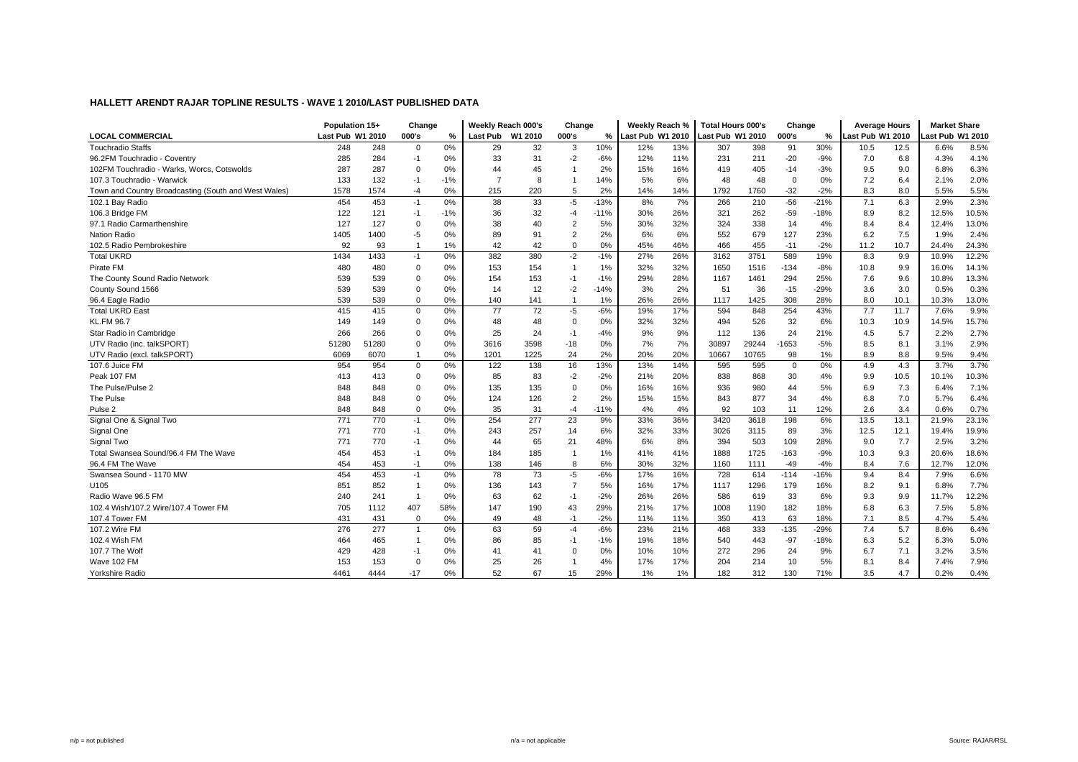|                                                      | Population 15+   |       | Change         |       | Weekly Reach 000's |      | Change         |        | Weekly Reach %   |     | Total Hours 000's |       | Change      |        | <b>Average Hours</b> |      | <b>Market Share</b> |       |
|------------------------------------------------------|------------------|-------|----------------|-------|--------------------|------|----------------|--------|------------------|-----|-------------------|-------|-------------|--------|----------------------|------|---------------------|-------|
| <b>LOCAL COMMERCIAL</b>                              | Last Pub W1 2010 |       | 000's          | %     | Last Pub W1 2010   |      | 000's          | $%$ 1  | Last Pub W1 2010 |     | Last Pub W1 2010  |       | 000's       | ℅      | Last Pub W1 2010     |      | ast Pub W1 2010     |       |
| <b>Touchradio Staffs</b>                             | 248              | 248   | $\mathbf 0$    | $0\%$ | 29                 | 32   | 3              | 10%    | 12%              | 13% | 307               | 398   | 91          | 30%    | 10.5                 | 12.5 | 6.6%                | 8.5%  |
| 96.2FM Touchradio - Coventry                         | 285              | 284   | $-1$           | 0%    | 33                 | 31   | $-2$           | $-6%$  | 12%              | 11% | 231               | 211   | $-20$       | $-9%$  | 7.0                  | 6.8  | 4.3%                | 4.1%  |
| 102FM Touchradio - Warks, Worcs, Cotswolds           | 287              | 287   | $\mathbf 0$    | 0%    | 44                 | 45   | -1             | 2%     | 15%              | 16% | 419               | 405   | $-14$       | $-3%$  | 9.5                  | 9.0  | 6.8%                | 6.3%  |
| 107.3 Touchradio - Warwick                           | 133              | 132   | $-1$           | $-1%$ | $\overline{7}$     | 8    | $\mathbf{1}$   | 14%    | 5%               | 6%  | 48                | 48    | $\mathbf 0$ | 0%     | 7.2                  | 6.4  | 2.1%                | 2.0%  |
| Town and Country Broadcasting (South and West Wales) | 1578             | 1574  | $-4$           | 0%    | 215                | 220  | 5              | 2%     | 14%              | 14% | 1792              | 1760  | $-32$       | $-2%$  | 8.3                  | 8.0  | 5.5%                | 5.5%  |
| 102.1 Bav Radio                                      | 454              | 453   | $-1$           | 0%    | 38                 | 33   | $-5$           | $-13%$ | 8%               | 7%  | 266               | 210   | $-56$       | $-21%$ | 7.1                  | 6.3  | 2.9%                | 2.3%  |
| 106.3 Bridge FM                                      | 122              | 121   | $-1$           | $-1%$ | 36                 | 32   | $-4$           | $-11%$ | 30%              | 26% | 321               | 262   | $-59$       | $-18%$ | 8.9                  | 8.2  | 12.5%               | 10.5% |
| 97.1 Radio Carmarthenshire                           | 127              | 127   | $\mathbf 0$    | 0%    | 38                 | 40   | $\overline{2}$ | 5%     | 30%              | 32% | 324               | 338   | 14          | 4%     | 8.4                  | 8.4  | 12.4%               | 13.0% |
| <b>Nation Radio</b>                                  | 1405             | 1400  | $-5$           | 0%    | 89                 | 91   | $\overline{2}$ | 2%     | 6%               | 6%  | 552               | 679   | 127         | 23%    | 6.2                  | 7.5  | 1.9%                | 2.4%  |
| 102.5 Radio Pembrokeshire                            | 92               | 93    |                | 1%    | 42                 | 42   | $\mathbf 0$    | 0%     | 45%              | 46% | 466               | 455   | $-11$       | $-2%$  | 11.2                 | 10.7 | 24.4%               | 24.3% |
| <b>Total UKRD</b>                                    | 1434             | 1433  | $-1$           | 0%    | 382                | 380  | $-2$           | $-1%$  | 27%              | 26% | 3162              | 3751  | 589         | 19%    | 8.3                  | 9.9  | 10.9%               | 12.2% |
| Pirate FM                                            | 480              | 480   | $\Omega$       | 0%    | 153                | 154  | $\mathbf{1}$   | 1%     | 32%              | 32% | 1650              | 1516  | $-134$      | $-8%$  | 10.8                 | 9.9  | 16.0%               | 14.1% |
| The County Sound Radio Network                       | 539              | 539   | $\Omega$       | 0%    | 154                | 153  | $-1$           | $-1%$  | 29%              | 28% | 1167              | 1461  | 294         | 25%    | 7.6                  | 9.6  | 10.8%               | 13.3% |
| County Sound 1566                                    | 539              | 539   | 0              | 0%    | 14                 | 12   | $-2$           | $-14%$ | 3%               | 2%  | 51                | 36    | $-15$       | $-29%$ | 3.6                  | 3.0  | 0.5%                | 0.3%  |
| 96.4 Eagle Radio                                     | 539              | 539   | $\Omega$       | 0%    | 140                | 141  | $\overline{1}$ | 1%     | 26%              | 26% | 1117              | 1425  | 308         | 28%    | 8.0                  | 10.1 | 10.3%               | 13.0% |
| <b>Total UKRD East</b>                               | 415              | 415   | $\mathbf{0}$   | 0%    | 77                 | 72   | $-5$           | $-6%$  | 19%              | 17% | 594               | 848   | 254         | 43%    | 7.7                  | 11.7 | 7.6%                | 9.9%  |
| KL.FM 96.7                                           | 149              | 149   | $\mathbf 0$    | 0%    | 48                 | 48   | $\mathbf 0$    | 0%     | 32%              | 32% | 494               | 526   | 32          | 6%     | 10.3                 | 10.9 | 14.5%               | 15.7% |
| Star Radio in Cambridge                              | 266              | 266   | $\Omega$       | 0%    | 25                 | 24   | $-1$           | $-4%$  | 9%               | 9%  | 112               | 136   | 24          | 21%    | 4.5                  | 5.7  | 2.2%                | 2.7%  |
| UTV Radio (inc. talkSPORT)                           | 51280            | 51280 | $\Omega$       | 0%    | 3616               | 3598 | $-18$          | 0%     | 7%               | 7%  | 30897             | 29244 | 1653        | $-5%$  | 8.5                  | 8.1  | 3.1%                | 2.9%  |
| UTV Radio (excl. talkSPORT)                          | 6069             | 6070  |                | 0%    | 1201               | 1225 | 24             | 2%     | 20%              | 20% | 10667             | 10765 | 98          | 1%     | 8.9                  | 8.8  | 9.5%                | 9.4%  |
| 107.6 Juice FM                                       | 954              | 954   | $\mathbf 0$    | 0%    | 122                | 138  | 16             | 13%    | 13%              | 14% | 595               | 595   | $\mathbf 0$ | 0%     | 4.9                  | 4.3  | 3.7%                | 3.7%  |
| Peak 107 FM                                          | 413              | 413   | $\mathbf 0$    | 0%    | 85                 | 83   | $-2$           | $-2%$  | 21%              | 20% | 838               | 868   | 30          | 4%     | 9.9                  | 10.5 | 10.1%               | 10.3% |
| The Pulse/Pulse 2                                    | 848              | 848   | $\Omega$       | 0%    | 135                | 135  | $\Omega$       | 0%     | 16%              | 16% | 936               | 980   | 44          | 5%     | 6.9                  | 7.3  | 6.4%                | 7.1%  |
| The Pulse                                            | 848              | 848   | $\Omega$       | 0%    | 124                | 126  | $\overline{2}$ | 2%     | 15%              | 15% | 843               | 877   | 34          | 4%     | 6.8                  | 7.0  | 5.7%                | 6.4%  |
| Pulse <sub>2</sub>                                   | 848              | 848   | $\Omega$       | 0%    | 35                 | 31   | $-4$           | -11%   | 4%               | 4%  | 92                | 103   | 11          | 12%    | 2.6                  | 3.4  | 0.6%                | 0.7%  |
| Signal One & Signal Two                              | 771              | 770   | $-1$           | 0%    | 254                | 277  | 23             | 9%     | 33%              | 36% | 3420              | 3618  | 198         | 6%     | 13.5                 | 13.1 | 21.9%               | 23.1% |
| Signal One                                           | 771              | 770   | $-1$           | 0%    | 243                | 257  | 14             | 6%     | 32%              | 33% | 3026              | 3115  | 89          | 3%     | 12.5                 | 12.1 | 19.4%               | 19.9% |
| Signal Two                                           | 771              | 770   | $-1$           | 0%    | 44                 | 65   | 21             | 48%    | 6%               | 8%  | 394               | 503   | 109         | 28%    | 9.0                  | 7.7  | 2.5%                | 3.2%  |
| Total Swansea Sound/96.4 FM The Wave                 | 454              | 453   | $-1$           | 0%    | 184                | 185  | $\mathbf{1}$   | 1%     | 41%              | 41% | 1888              | 1725  | $-163$      | $-9%$  | 10.3                 | 9.3  | 20.6%               | 18.6% |
| 96.4 FM The Wave                                     | 454              | 453   | $-1$           | 0%    | 138                | 146  | 8              | 6%     | 30%              | 32% | 1160              | 1111  | $-49$       | $-4%$  | 8.4                  | 7.6  | 12.7%               | 12.0% |
| Swansea Sound - 1170 MW                              | 454              | 453   | $-1$           | 0%    | 78                 | 73   | $-5$           | $-6%$  | 17%              | 16% | 728               | 614   | $-114$      | $-16%$ | 9.4                  | 8.4  | 7.9%                | 6.6%  |
| U105                                                 | 851              | 852   | $\overline{1}$ | 0%    | 136                | 143  | $\overline{7}$ | 5%     | 16%              | 17% | 1117              | 1296  | 179         | 16%    | 8.2                  | 9.1  | 6.8%                | 7.7%  |
| Radio Wave 96.5 FM                                   | 240              | 241   |                | 0%    | 63                 | 62   | $-1$           | $-2%$  | 26%              | 26% | 586               | 619   | 33          | 6%     | 9.3                  | 9.9  | 11.7%               | 12.2% |
| 102.4 Wish/107.2 Wire/107.4 Tower FM                 | 705              | 1112  | 407            | 58%   | 147                | 190  | 43             | 29%    | 21%              | 17% | 1008              | 1190  | 182         | 18%    | 6.8                  | 6.3  | 7.5%                | 5.8%  |
| 107.4 Tower FM                                       | 431              | 431   | $\mathbf 0$    | 0%    | 49                 | 48   | $-1$           | $-2%$  | 11%              | 11% | 350               | 413   | 63          | 18%    | 7.1                  | 8.5  | 4.7%                | 5.4%  |
| 107.2 Wire FM                                        | 276              | 277   | $\overline{1}$ | 0%    | 63                 | 59   | $-4$           | $-6%$  | 23%              | 21% | 468               | 333   | $-135$      | $-29%$ | 7.4                  | 5.7  | 8.6%                | 6.4%  |
| 102.4 Wish FM                                        | 464              | 465   |                | 0%    | 86                 | 85   | $-1$           | $-1%$  | 19%              | 18% | 540               | 443   | $-97$       | $-18%$ | 6.3                  | 5.2  | 6.3%                | 5.0%  |
| 107.7 The Wolf                                       | 429              | 428   | -1             | 0%    | 41                 | 41   | $\Omega$       | 0%     | 10%              | 10% | 272               | 296   | 24          | 9%     | 6.7                  | 7.1  | 3.2%                | 3.5%  |
| Wave 102 FM                                          | 153              | 153   | $\mathbf 0$    | 0%    | 25                 | 26   | $\mathbf 1$    | 4%     | 17%              | 17% | 204               | 214   | 10          | 5%     | 8.1                  | 8.4  | 7.4%                | 7.9%  |
| Yorkshire Radio                                      | 4461             | 4444  | $-17$          | 0%    | 52                 | 67   | 15             | 29%    | 1%               | 1%  | 182               | 312   | 130         | 71%    | 3.5                  | 4.7  | 0.2%                | 0.4%  |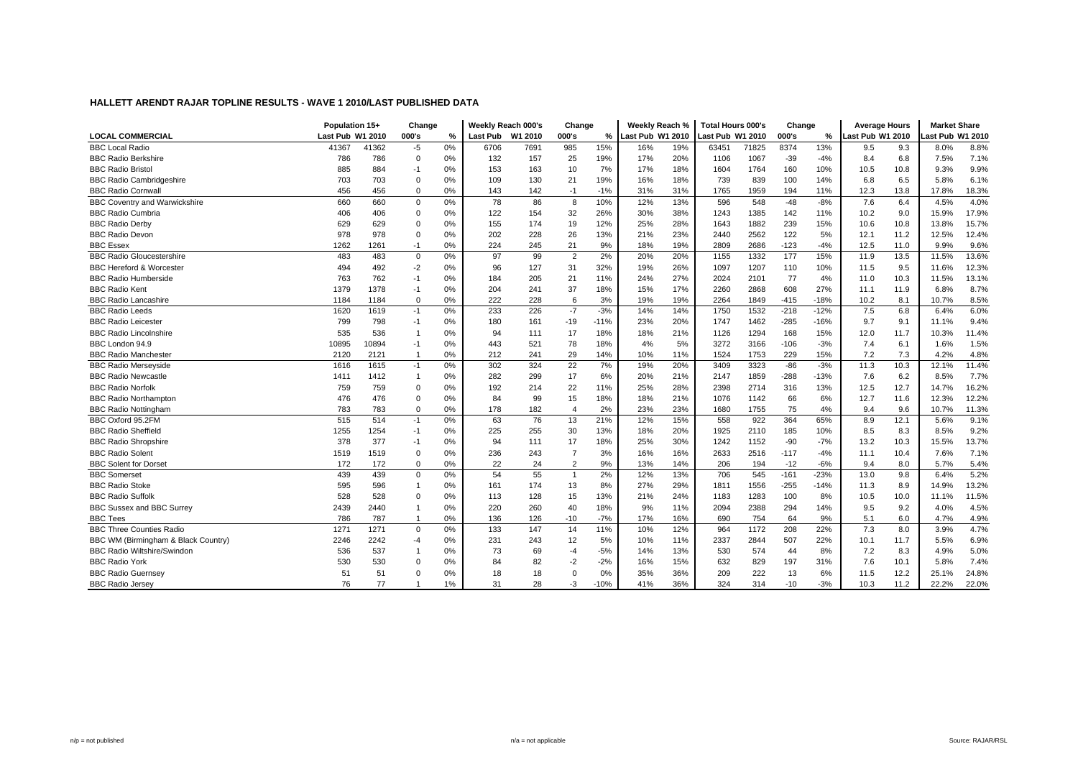|                                      | Population 15+   |       | Change         |    | Weekly Reach 000's |      | Change         |        | Weekly Reach %   |     | <b>Total Hours 000's</b> |       | Change |        | <b>Average Hours</b> |      | <b>Market Share</b> |       |
|--------------------------------------|------------------|-------|----------------|----|--------------------|------|----------------|--------|------------------|-----|--------------------------|-------|--------|--------|----------------------|------|---------------------|-------|
| <b>LOCAL COMMERCIAL</b>              | Last Pub W1 2010 |       | 000's          | %  | Last Pub W1 2010   |      | 000's          | ℅      | Last Pub W1 2010 |     | ast Pub W1 2010          |       | 000's  | %      | Last Pub W1 2010     |      | ast Pub W1 2010     |       |
| <b>BBC Local Radio</b>               | 41367            | 41362 | $-5$           | 0% | 6706               | 7691 | 985            | 15%    | 16%              | 19% | 63451                    | 71825 | 8374   | 13%    | 9.5                  | 9.3  | 8.0%                | 8.8%  |
| <b>BBC Radio Berkshire</b>           | 786              | 786   | $\mathbf 0$    | 0% | 132                | 157  | 25             | 19%    | 17%              | 20% | 1106                     | 1067  | $-39$  | $-4%$  | 8.4                  | 6.8  | 7.5%                | 7.1%  |
| <b>BBC Radio Bristol</b>             | 885              | 884   | -1             | 0% | 153                | 163  | 10             | 7%     | 17%              | 18% | 1604                     | 1764  | 160    | 10%    | 10.5                 | 10.8 | 9.3%                | 9.9%  |
| <b>BBC Radio Cambridgeshire</b>      | 703              | 703   | $\Omega$       | 0% | 109                | 130  | 21             | 19%    | 16%              | 18% | 739                      | 839   | 100    | 14%    | 6.8                  | 6.5  | 5.8%                | 6.1%  |
| <b>BBC Radio Cornwall</b>            | 456              | 456   | $\Omega$       | 0% | 143                | 142  | $-1$           | $-1%$  | 31%              | 31% | 1765                     | 1959  | 194    | 11%    | 12.3                 | 13.8 | 17.8%               | 18.3% |
| <b>BBC Coventry and Warwickshire</b> | 660              | 660   | $\mathbf 0$    | 0% | 78                 | 86   | 8              | 10%    | 12%              | 13% | 596                      | 548   | $-48$  | $-8%$  | 7.6                  | 6.4  | 4.5%                | 4.0%  |
| <b>BBC Radio Cumbria</b>             | 406              | 406   | $\Omega$       | 0% | 122                | 154  | 32             | 26%    | 30%              | 38% | 1243                     | 1385  | 142    | 11%    | 10.2                 | 9.0  | 15.9%               | 17.9% |
| <b>BBC Radio Derby</b>               | 629              | 629   | $\Omega$       | 0% | 155                | 174  | 19             | 12%    | 25%              | 28% | 1643                     | 1882  | 239    | 15%    | 10.6                 | 10.8 | 13.8%               | 15.7% |
| <b>BBC Radio Devon</b>               | 978              | 978   | $\mathbf 0$    | 0% | 202                | 228  | 26             | 13%    | 21%              | 23% | 2440                     | 2562  | 122    | 5%     | 12.1                 | 11.2 | 12.5%               | 12.4% |
| <b>BBC</b> Essex                     | 1262             | 1261  | $-1$           | 0% | 224                | 245  | 21             | 9%     | 18%              | 19% | 2809                     | 2686  | $-123$ | $-4%$  | 12.5                 | 11.0 | 9.9%                | 9.6%  |
| <b>BBC Radio Gloucestershire</b>     | 483              | 483   | $\mathbf 0$    | 0% | 97                 | 99   | $\overline{2}$ | 2%     | 20%              | 20% | 1155                     | 1332  | 177    | 15%    | 11.9                 | 13.5 | 11.5%               | 13.6% |
| <b>BBC Hereford &amp; Worcester</b>  | 494              | 492   | $-2$           | 0% | 96                 | 127  | 31             | 32%    | 19%              | 26% | 1097                     | 1207  | 110    | 10%    | 11.5                 | 9.5  | 11.6%               | 12.3% |
| <b>BBC Radio Humberside</b>          | 763              | 762   | $-1$           | 0% | 184                | 205  | 21             | 11%    | 24%              | 27% | 2024                     | 2101  | 77     | 4%     | 11.0                 | 10.3 | 11.5%               | 13.1% |
| <b>BBC Radio Kent</b>                | 1379             | 1378  | $-1$           | 0% | 204                | 241  | 37             | 18%    | 15%              | 17% | 2260                     | 2868  | 608    | 27%    | 11.1                 | 11.9 | 6.8%                | 8.7%  |
| <b>BBC Radio Lancashire</b>          | 1184             | 1184  | $\mathbf 0$    | 0% | 222                | 228  | 6              | 3%     | 19%              | 19% | 2264                     | 1849  | $-415$ | $-18%$ | 10.2                 | 8.1  | 10.7%               | 8.5%  |
| <b>BBC Radio Leeds</b>               | 1620             | 1619  | $-1$           | 0% | 233                | 226  | $-7$           | $-3%$  | 14%              | 14% | 1750                     | 1532  | $-218$ | $-12%$ | 7.5                  | 6.8  | 6.4%                | 6.0%  |
| <b>BBC Radio Leicester</b>           | 799              | 798   | $-1$           | 0% | 180                | 161  | $-19$          | $-11%$ | 23%              | 20% | 1747                     | 1462  | $-285$ | $-16%$ | 9.7                  | 9.1  | 11.1%               | 9.4%  |
| <b>BBC Radio Lincolnshire</b>        | 535              | 536   |                | 0% | 94                 | 111  | 17             | 18%    | 18%              | 21% | 1126                     | 1294  | 168    | 15%    | 12.0                 | 11.7 | 10.3%               | 11.4% |
| BBC London 94.9                      | 10895            | 10894 | $-1$           | 0% | 443                | 521  | 78             | 18%    | 4%               | 5%  | 3272                     | 3166  | $-106$ | $-3%$  | 7.4                  | 6.1  | 1.6%                | 1.5%  |
| <b>BBC Radio Manchester</b>          | 2120             | 2121  | -1             | 0% | 212                | 241  | 29             | 14%    | 10%              | 11% | 1524                     | 1753  | 229    | 15%    | 7.2                  | 7.3  | 4.2%                | 4.8%  |
| <b>BBC Radio Mersevside</b>          | 1616             | 1615  | $-1$           | 0% | 302                | 324  | 22             | 7%     | 19%              | 20% | 3409                     | 3323  | $-86$  | $-3%$  | 11.3                 | 10.3 | 12.1%               | 11.4% |
| <b>BBC Radio Newcastle</b>           | 1411             | 1412  | $\overline{1}$ | 0% | 282                | 299  | 17             | 6%     | 20%              | 21% | 2147                     | 1859  | $-288$ | $-13%$ | 7.6                  | 6.2  | 8.5%                | 7.7%  |
| <b>BBC Radio Norfolk</b>             | 759              | 759   | $\Omega$       | 0% | 192                | 214  | 22             | 11%    | 25%              | 28% | 2398                     | 2714  | 316    | 13%    | 12.5                 | 12.7 | 14.7%               | 16.2% |
| <b>BBC Radio Northampton</b>         | 476              | 476   | $\Omega$       | 0% | 84                 | 99   | 15             | 18%    | 18%              | 21% | 1076                     | 1142  | 66     | 6%     | 12.7                 | 11.6 | 12.3%               | 12.2% |
| <b>BBC Radio Nottingham</b>          | 783              | 783   | $\mathbf 0$    | 0% | 178                | 182  | $\overline{4}$ | 2%     | 23%              | 23% | 1680                     | 1755  | 75     | 4%     | 9.4                  | 9.6  | 10.7%               | 11.3% |
| BBC Oxford 95.2FM                    | 515              | 514   | $-1$           | 0% | 63                 | 76   | 13             | 21%    | 12%              | 15% | 558                      | 922   | 364    | 65%    | 8.9                  | 12.1 | 5.6%                | 9.1%  |
| <b>BBC Radio Sheffield</b>           | 1255             | 1254  | $-1$           | 0% | 225                | 255  | 30             | 13%    | 18%              | 20% | 1925                     | 2110  | 185    | 10%    | 8.5                  | 8.3  | 8.5%                | 9.2%  |
| <b>BBC Radio Shropshire</b>          | 378              | 377   | $-1$           | 0% | 94                 | 111  | 17             | 18%    | 25%              | 30% | 1242                     | 1152  | $-90$  | $-7%$  | 13.2                 | 10.3 | 15.5%               | 13.7% |
| <b>BBC Radio Solent</b>              | 1519             | 1519  | $\mathbf 0$    | 0% | 236                | 243  | $\overline{7}$ | 3%     | 16%              | 16% | 2633                     | 2516  | $-117$ | $-4%$  | 11.1                 | 10.4 | 7.6%                | 7.1%  |
| <b>BBC Solent for Dorset</b>         | 172              | 172   | $\mathbf 0$    | 0% | 22                 | 24   | 2              | 9%     | 13%              | 14% | 206                      | 194   | $-12$  | $-6%$  | 9.4                  | 8.0  | 5.7%                | 5.4%  |
| <b>BBC</b> Somerset                  | 439              | 439   | $\mathbf 0$    | 0% | 54                 | 55   | $\overline{1}$ | 2%     | 12%              | 13% | 706                      | 545   | $-161$ | $-23%$ | 13.0                 | 9.8  | 6.4%                | 5.2%  |
| <b>BBC Radio Stoke</b>               | 595              | 596   |                | 0% | 161                | 174  | 13             | 8%     | 27%              | 29% | 1811                     | 1556  | $-255$ | $-14%$ | 11.3                 | 8.9  | 14.9%               | 13.2% |
| <b>BBC Radio Suffolk</b>             | 528              | 528   | $\Omega$       | 0% | 113                | 128  | 15             | 13%    | 21%              | 24% | 1183                     | 1283  | 100    | 8%     | 10.5                 | 10.0 | 11.1%               | 11.5% |
| BBC Sussex and BBC Surrey            | 2439             | 2440  |                | 0% | 220                | 260  | 40             | 18%    | 9%               | 11% | 2094                     | 2388  | 294    | 14%    | 9.5                  | 9.2  | 4.0%                | 4.5%  |
| <b>BBC Tees</b>                      | 786              | 787   |                | 0% | 136                | 126  | $-10$          | $-7%$  | 17%              | 16% | 690                      | 754   | 64     | 9%     | 5.1                  | 6.0  | 4.7%                | 4.9%  |
| <b>BBC Three Counties Radio</b>      | 1271             | 1271  | $\mathbf 0$    | 0% | 133                | 147  | 14             | 11%    | 10%              | 12% | 964                      | 1172  | 208    | 22%    | 7.3                  | 8.0  | 3.9%                | 4.7%  |
| BBC WM (Birmingham & Black Country)  | 2246             | 2242  | -4             | 0% | 231                | 243  | 12             | 5%     | 10%              | 11% | 2337                     | 2844  | 507    | 22%    | 10.1                 | 11.7 | 5.5%                | 6.9%  |
| <b>BBC Radio Wiltshire/Swindon</b>   | 536              | 537   |                | 0% | 73                 | 69   | $-4$           | $-5%$  | 14%              | 13% | 530                      | 574   | 44     | 8%     | 7.2                  | 8.3  | 4.9%                | 5.0%  |
| <b>BBC Radio York</b>                | 530              | 530   | $\Omega$       | 0% | 84                 | 82   | $-2$           | $-2%$  | 16%              | 15% | 632                      | 829   | 197    | 31%    | 7.6                  | 10.1 | 5.8%                | 7.4%  |
| <b>BBC Radio Guernsey</b>            | 51               | 51    | $\Omega$       | 0% | 18                 | 18   | $\mathbf 0$    | 0%     | 35%              | 36% | 209                      | 222   | 13     | 6%     | 11.5                 | 12.2 | 25.1%               | 24.8% |
| <b>BBC Radio Jersey</b>              | 76               | 77    |                | 1% | 31                 | 28   | $-3$           | $-10%$ | 41%              | 36% | 324                      | 314   | $-10$  | $-3%$  | 10.3                 | 11.2 | 22.2%               | 22.0% |